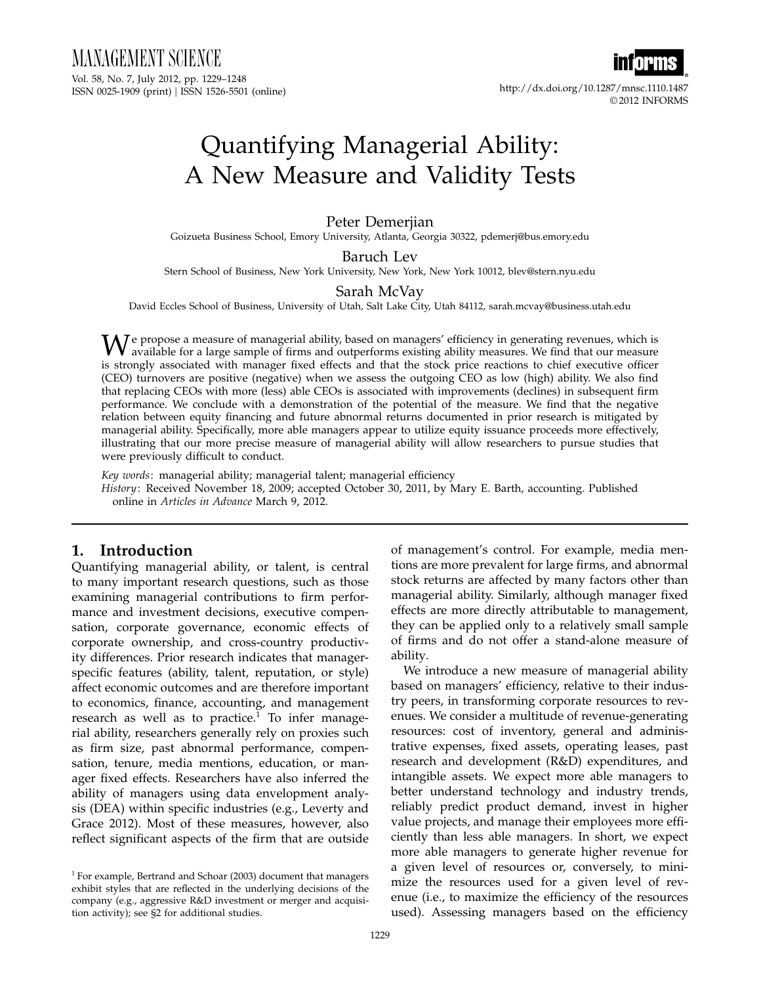MANAGEMENT SCIENCE

Vol. 58, No. 7, July 2012, pp. 1229–1248 ISSN 0025-1909 (print) ISSN 1526-5501 (online) http://dx.doi.org/10.1287/mnsc.1110.1487



© 2012 INFORMS

# Quantifying Managerial Ability: A New Measure and Validity Tests

# Peter Demerjian

Goizueta Business School, Emory University, Atlanta, Georgia 30322, pdemerj@bus.emory.edu

Baruch Lev

Stern School of Business, New York University, New York, New York 10012, blev@stern.nyu.edu

# Sarah McVay

David Eccles School of Business, University of Utah, Salt Lake City, Utah 84112, sarah.mcvay@business.utah.edu

We propose a measure of managerial ability, based on managers' efficiency in generating revenues, which is<br>available for a large sample of firms and outperforms existing ability measures. We find that our measure is strongly associated with manager fixed effects and that the stock price reactions to chief executive officer (CEO) turnovers are positive (negative) when we assess the outgoing CEO as low (high) ability. We also find that replacing CEOs with more (less) able CEOs is associated with improvements (declines) in subsequent firm performance. We conclude with a demonstration of the potential of the measure. We find that the negative relation between equity financing and future abnormal returns documented in prior research is mitigated by managerial ability. Specifically, more able managers appear to utilize equity issuance proceeds more effectively, illustrating that our more precise measure of managerial ability will allow researchers to pursue studies that were previously difficult to conduct.

Key words: managerial ability; managerial talent; managerial efficiency History: Received November 18, 2009; accepted October 30, 2011, by Mary E. Barth, accounting. Published online in Articles in Advance March 9, 2012.

# 1. Introduction

Quantifying managerial ability, or talent, is central to many important research questions, such as those examining managerial contributions to firm performance and investment decisions, executive compensation, corporate governance, economic effects of corporate ownership, and cross-country productivity differences. Prior research indicates that managerspecific features (ability, talent, reputation, or style) affect economic outcomes and are therefore important to economics, finance, accounting, and management research as well as to practice.<sup>1</sup> To infer managerial ability, researchers generally rely on proxies such as firm size, past abnormal performance, compensation, tenure, media mentions, education, or manager fixed effects. Researchers have also inferred the ability of managers using data envelopment analysis (DEA) within specific industries (e.g., Leverty and Grace 2012). Most of these measures, however, also reflect significant aspects of the firm that are outside of management's control. For example, media mentions are more prevalent for large firms, and abnormal stock returns are affected by many factors other than managerial ability. Similarly, although manager fixed effects are more directly attributable to management, they can be applied only to a relatively small sample of firms and do not offer a stand-alone measure of ability.

We introduce a new measure of managerial ability based on managers' efficiency, relative to their industry peers, in transforming corporate resources to revenues. We consider a multitude of revenue-generating resources: cost of inventory, general and administrative expenses, fixed assets, operating leases, past research and development (R&D) expenditures, and intangible assets. We expect more able managers to better understand technology and industry trends, reliably predict product demand, invest in higher value projects, and manage their employees more efficiently than less able managers. In short, we expect more able managers to generate higher revenue for a given level of resources or, conversely, to minimize the resources used for a given level of revenue (i.e., to maximize the efficiency of the resources used). Assessing managers based on the efficiency

<sup>1</sup> For example, Bertrand and Schoar (2003) document that managers exhibit styles that are reflected in the underlying decisions of the company (e.g., aggressive R&D investment or merger and acquisition activity); see §2 for additional studies.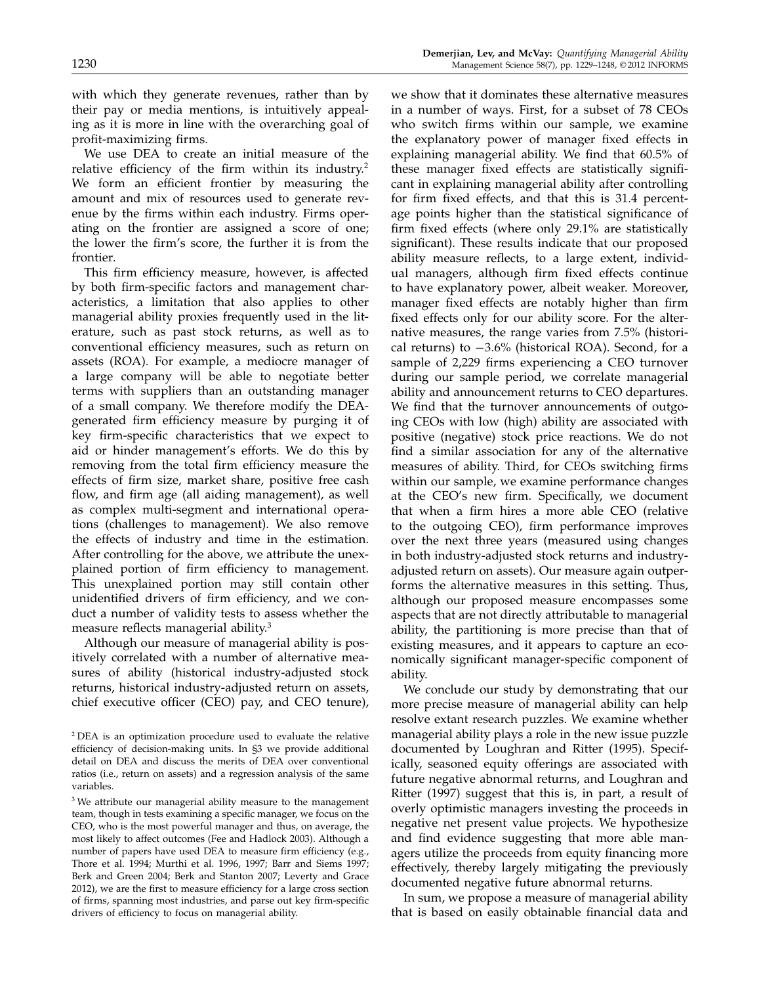with which they generate revenues, rather than by their pay or media mentions, is intuitively appealing as it is more in line with the overarching goal of profit-maximizing firms.

We use DEA to create an initial measure of the relative efficiency of the firm within its industry.<sup>2</sup> We form an efficient frontier by measuring the amount and mix of resources used to generate revenue by the firms within each industry. Firms operating on the frontier are assigned a score of one; the lower the firm's score, the further it is from the frontier.

This firm efficiency measure, however, is affected by both firm-specific factors and management characteristics, a limitation that also applies to other managerial ability proxies frequently used in the literature, such as past stock returns, as well as to conventional efficiency measures, such as return on assets (ROA). For example, a mediocre manager of a large company will be able to negotiate better terms with suppliers than an outstanding manager of a small company. We therefore modify the DEAgenerated firm efficiency measure by purging it of key firm-specific characteristics that we expect to aid or hinder management's efforts. We do this by removing from the total firm efficiency measure the effects of firm size, market share, positive free cash flow, and firm age (all aiding management), as well as complex multi-segment and international operations (challenges to management). We also remove the effects of industry and time in the estimation. After controlling for the above, we attribute the unexplained portion of firm efficiency to management. This unexplained portion may still contain other unidentified drivers of firm efficiency, and we conduct a number of validity tests to assess whether the measure reflects managerial ability.<sup>3</sup>

Although our measure of managerial ability is positively correlated with a number of alternative measures of ability (historical industry-adjusted stock returns, historical industry-adjusted return on assets, chief executive officer (CEO) pay, and CEO tenure), we show that it dominates these alternative measures in a number of ways. First, for a subset of 78 CEOs who switch firms within our sample, we examine the explanatory power of manager fixed effects in explaining managerial ability. We find that 60.5% of these manager fixed effects are statistically significant in explaining managerial ability after controlling for firm fixed effects, and that this is 31.4 percentage points higher than the statistical significance of firm fixed effects (where only 29.1% are statistically significant). These results indicate that our proposed ability measure reflects, to a large extent, individual managers, although firm fixed effects continue to have explanatory power, albeit weaker. Moreover, manager fixed effects are notably higher than firm fixed effects only for our ability score. For the alternative measures, the range varies from 7.5% (historical returns) to  $-3.6%$  (historical ROA). Second, for a sample of 2,229 firms experiencing a CEO turnover during our sample period, we correlate managerial ability and announcement returns to CEO departures. We find that the turnover announcements of outgoing CEOs with low (high) ability are associated with positive (negative) stock price reactions. We do not find a similar association for any of the alternative measures of ability. Third, for CEOs switching firms within our sample, we examine performance changes at the CEO's new firm. Specifically, we document that when a firm hires a more able CEO (relative to the outgoing CEO), firm performance improves over the next three years (measured using changes in both industry-adjusted stock returns and industryadjusted return on assets). Our measure again outperforms the alternative measures in this setting. Thus, although our proposed measure encompasses some aspects that are not directly attributable to managerial ability, the partitioning is more precise than that of existing measures, and it appears to capture an economically significant manager-specific component of ability.

We conclude our study by demonstrating that our more precise measure of managerial ability can help resolve extant research puzzles. We examine whether managerial ability plays a role in the new issue puzzle documented by Loughran and Ritter (1995). Specifically, seasoned equity offerings are associated with future negative abnormal returns, and Loughran and Ritter (1997) suggest that this is, in part, a result of overly optimistic managers investing the proceeds in negative net present value projects. We hypothesize and find evidence suggesting that more able managers utilize the proceeds from equity financing more effectively, thereby largely mitigating the previously documented negative future abnormal returns.

In sum, we propose a measure of managerial ability that is based on easily obtainable financial data and

<sup>2</sup> DEA is an optimization procedure used to evaluate the relative efficiency of decision-making units. In §3 we provide additional detail on DEA and discuss the merits of DEA over conventional ratios (i.e., return on assets) and a regression analysis of the same variables.

<sup>&</sup>lt;sup>3</sup> We attribute our managerial ability measure to the management team, though in tests examining a specific manager, we focus on the CEO, who is the most powerful manager and thus, on average, the most likely to affect outcomes (Fee and Hadlock 2003). Although a number of papers have used DEA to measure firm efficiency (e.g., Thore et al. 1994; Murthi et al. 1996, 1997; Barr and Siems 1997; Berk and Green 2004; Berk and Stanton 2007; Leverty and Grace 2012), we are the first to measure efficiency for a large cross section of firms, spanning most industries, and parse out key firm-specific drivers of efficiency to focus on managerial ability.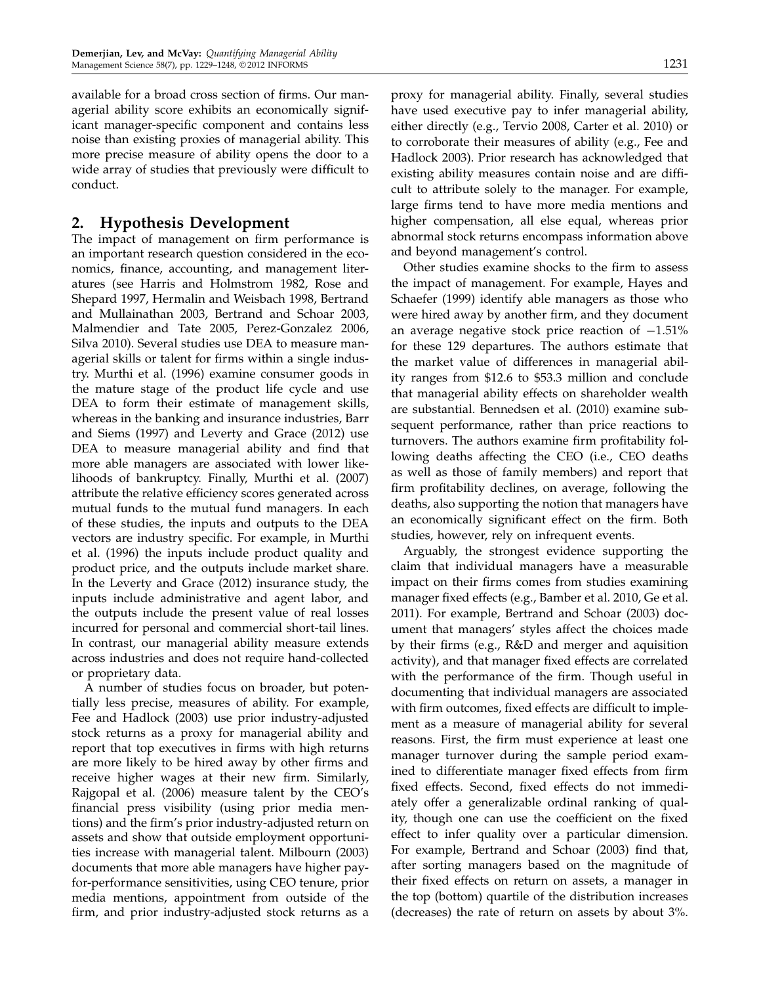available for a broad cross section of firms. Our managerial ability score exhibits an economically significant manager-specific component and contains less noise than existing proxies of managerial ability. This more precise measure of ability opens the door to a wide array of studies that previously were difficult to conduct.

# 2. Hypothesis Development

The impact of management on firm performance is an important research question considered in the economics, finance, accounting, and management literatures (see Harris and Holmstrom 1982, Rose and Shepard 1997, Hermalin and Weisbach 1998, Bertrand and Mullainathan 2003, Bertrand and Schoar 2003, Malmendier and Tate 2005, Perez-Gonzalez 2006, Silva 2010). Several studies use DEA to measure managerial skills or talent for firms within a single industry. Murthi et al. (1996) examine consumer goods in the mature stage of the product life cycle and use DEA to form their estimate of management skills, whereas in the banking and insurance industries, Barr and Siems (1997) and Leverty and Grace (2012) use DEA to measure managerial ability and find that more able managers are associated with lower likelihoods of bankruptcy. Finally, Murthi et al. (2007) attribute the relative efficiency scores generated across mutual funds to the mutual fund managers. In each of these studies, the inputs and outputs to the DEA vectors are industry specific. For example, in Murthi et al. (1996) the inputs include product quality and product price, and the outputs include market share. In the Leverty and Grace (2012) insurance study, the inputs include administrative and agent labor, and the outputs include the present value of real losses incurred for personal and commercial short-tail lines. In contrast, our managerial ability measure extends across industries and does not require hand-collected or proprietary data.

A number of studies focus on broader, but potentially less precise, measures of ability. For example, Fee and Hadlock (2003) use prior industry-adjusted stock returns as a proxy for managerial ability and report that top executives in firms with high returns are more likely to be hired away by other firms and receive higher wages at their new firm. Similarly, Rajgopal et al. (2006) measure talent by the CEO's financial press visibility (using prior media mentions) and the firm's prior industry-adjusted return on assets and show that outside employment opportunities increase with managerial talent. Milbourn (2003) documents that more able managers have higher payfor-performance sensitivities, using CEO tenure, prior media mentions, appointment from outside of the firm, and prior industry-adjusted stock returns as a proxy for managerial ability. Finally, several studies have used executive pay to infer managerial ability, either directly (e.g., Tervio 2008, Carter et al. 2010) or to corroborate their measures of ability (e.g., Fee and Hadlock 2003). Prior research has acknowledged that existing ability measures contain noise and are difficult to attribute solely to the manager. For example, large firms tend to have more media mentions and higher compensation, all else equal, whereas prior abnormal stock returns encompass information above and beyond management's control.

Other studies examine shocks to the firm to assess the impact of management. For example, Hayes and Schaefer (1999) identify able managers as those who were hired away by another firm, and they document an average negative stock price reaction of  $-1.51\%$ for these 129 departures. The authors estimate that the market value of differences in managerial ability ranges from \$12.6 to \$53.3 million and conclude that managerial ability effects on shareholder wealth are substantial. Bennedsen et al. (2010) examine subsequent performance, rather than price reactions to turnovers. The authors examine firm profitability following deaths affecting the CEO (i.e., CEO deaths as well as those of family members) and report that firm profitability declines, on average, following the deaths, also supporting the notion that managers have an economically significant effect on the firm. Both studies, however, rely on infrequent events.

Arguably, the strongest evidence supporting the claim that individual managers have a measurable impact on their firms comes from studies examining manager fixed effects (e.g., Bamber et al. 2010, Ge et al. 2011). For example, Bertrand and Schoar (2003) document that managers' styles affect the choices made by their firms (e.g., R&D and merger and aquisition activity), and that manager fixed effects are correlated with the performance of the firm. Though useful in documenting that individual managers are associated with firm outcomes, fixed effects are difficult to implement as a measure of managerial ability for several reasons. First, the firm must experience at least one manager turnover during the sample period examined to differentiate manager fixed effects from firm fixed effects. Second, fixed effects do not immediately offer a generalizable ordinal ranking of quality, though one can use the coefficient on the fixed effect to infer quality over a particular dimension. For example, Bertrand and Schoar (2003) find that, after sorting managers based on the magnitude of their fixed effects on return on assets, a manager in the top (bottom) quartile of the distribution increases (decreases) the rate of return on assets by about 3%.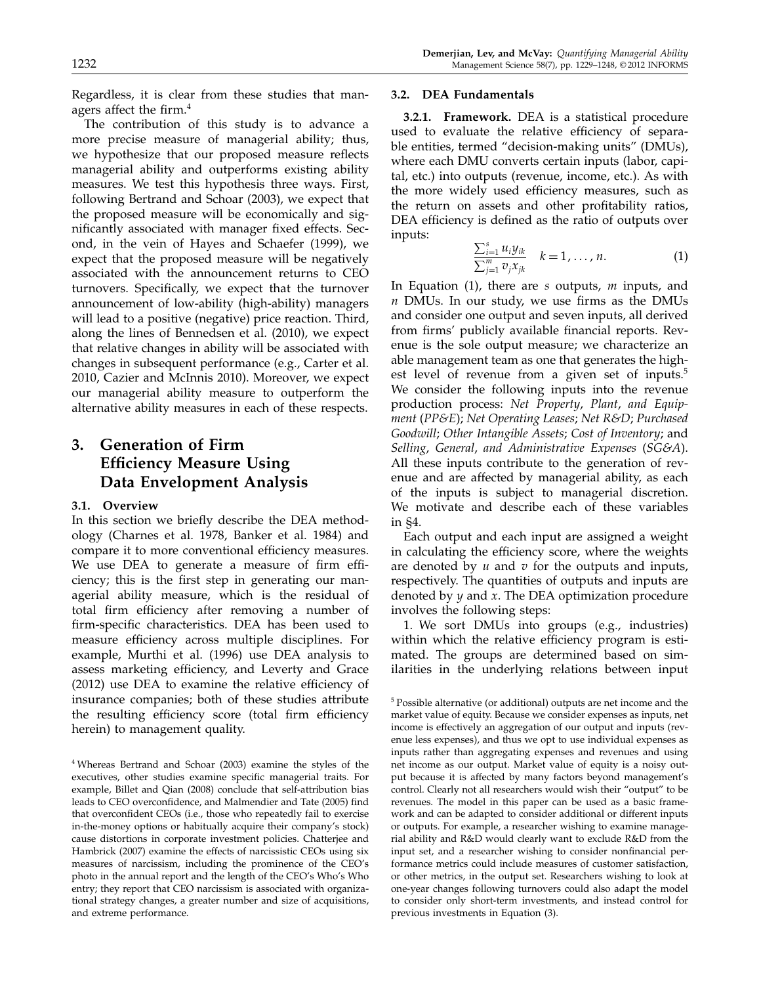Regardless, it is clear from these studies that managers affect the firm.<sup>4</sup>

The contribution of this study is to advance a more precise measure of managerial ability; thus, we hypothesize that our proposed measure reflects managerial ability and outperforms existing ability measures. We test this hypothesis three ways. First, following Bertrand and Schoar (2003), we expect that the proposed measure will be economically and significantly associated with manager fixed effects. Second, in the vein of Hayes and Schaefer (1999), we expect that the proposed measure will be negatively associated with the announcement returns to CEO turnovers. Specifically, we expect that the turnover announcement of low-ability (high-ability) managers will lead to a positive (negative) price reaction. Third, along the lines of Bennedsen et al. (2010), we expect that relative changes in ability will be associated with changes in subsequent performance (e.g., Carter et al. 2010, Cazier and McInnis 2010). Moreover, we expect our managerial ability measure to outperform the alternative ability measures in each of these respects.

# 3. Generation of Firm Efficiency Measure Using Data Envelopment Analysis

### 3.1. Overview

In this section we briefly describe the DEA methodology (Charnes et al. 1978, Banker et al. 1984) and compare it to more conventional efficiency measures. We use DEA to generate a measure of firm efficiency; this is the first step in generating our managerial ability measure, which is the residual of total firm efficiency after removing a number of firm-specific characteristics. DEA has been used to measure efficiency across multiple disciplines. For example, Murthi et al. (1996) use DEA analysis to assess marketing efficiency, and Leverty and Grace (2012) use DEA to examine the relative efficiency of insurance companies; both of these studies attribute the resulting efficiency score (total firm efficiency herein) to management quality.

### 3.2. DEA Fundamentals

3.2.1. Framework. DEA is a statistical procedure used to evaluate the relative efficiency of separable entities, termed "decision-making units" (DMUs), where each DMU converts certain inputs (labor, capital, etc.) into outputs (revenue, income, etc.). As with the more widely used efficiency measures, such as the return on assets and other profitability ratios, DEA efficiency is defined as the ratio of outputs over inputs:

$$
\frac{\sum_{i=1}^{s} u_i y_{ik}}{\sum_{j=1}^{m} v_j x_{jk}} \quad k = 1, \dots, n.
$$
 (1)

In Equation (1), there are  $s$  outputs,  $m$  inputs, and  $n$  DMUs. In our study, we use firms as the DMUs and consider one output and seven inputs, all derived from firms' publicly available financial reports. Revenue is the sole output measure; we characterize an able management team as one that generates the highest level of revenue from a given set of inputs.<sup>5</sup> We consider the following inputs into the revenue production process: Net Property, Plant, and Equipment (PP&E); Net Operating Leases; Net R&D; Purchased Goodwill; Other Intangible Assets; Cost of Inventory; and Selling, General, and Administrative Expenses (SG&A). All these inputs contribute to the generation of revenue and are affected by managerial ability, as each of the inputs is subject to managerial discretion. We motivate and describe each of these variables in §4.

Each output and each input are assigned a weight in calculating the efficiency score, where the weights are denoted by  $u$  and  $v$  for the outputs and inputs, respectively. The quantities of outputs and inputs are denoted by  $y$  and  $x$ . The DEA optimization procedure involves the following steps:

1. We sort DMUs into groups (e.g., industries) within which the relative efficiency program is estimated. The groups are determined based on similarities in the underlying relations between input

<sup>4</sup> Whereas Bertrand and Schoar (2003) examine the styles of the executives, other studies examine specific managerial traits. For example, Billet and Qian (2008) conclude that self-attribution bias leads to CEO overconfidence, and Malmendier and Tate (2005) find that overconfident CEOs (i.e., those who repeatedly fail to exercise in-the-money options or habitually acquire their company's stock) cause distortions in corporate investment policies. Chatterjee and Hambrick (2007) examine the effects of narcissistic CEOs using six measures of narcissism, including the prominence of the CEO's photo in the annual report and the length of the CEO's Who's Who entry; they report that CEO narcissism is associated with organizational strategy changes, a greater number and size of acquisitions, and extreme performance.

<sup>5</sup> Possible alternative (or additional) outputs are net income and the market value of equity. Because we consider expenses as inputs, net income is effectively an aggregation of our output and inputs (revenue less expenses), and thus we opt to use individual expenses as inputs rather than aggregating expenses and revenues and using net income as our output. Market value of equity is a noisy output because it is affected by many factors beyond management's control. Clearly not all researchers would wish their "output" to be revenues. The model in this paper can be used as a basic framework and can be adapted to consider additional or different inputs or outputs. For example, a researcher wishing to examine managerial ability and R&D would clearly want to exclude R&D from the input set, and a researcher wishing to consider nonfinancial performance metrics could include measures of customer satisfaction, or other metrics, in the output set. Researchers wishing to look at one-year changes following turnovers could also adapt the model to consider only short-term investments, and instead control for previous investments in Equation (3).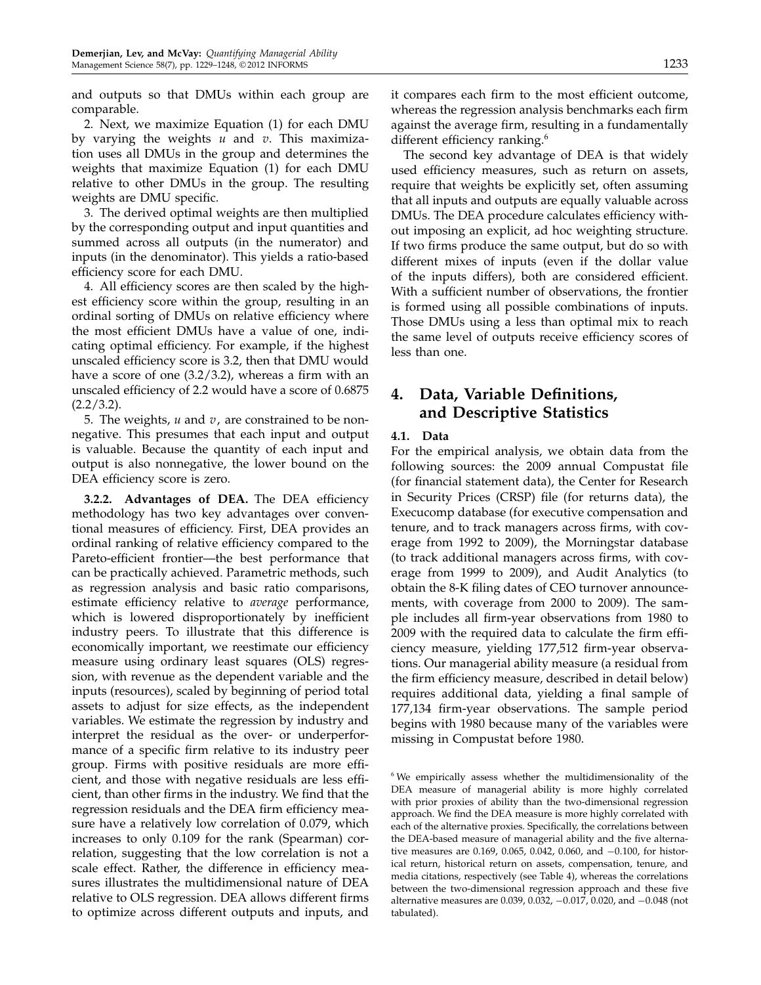and outputs so that DMUs within each group are comparable.

2. Next, we maximize Equation (1) for each DMU by varying the weights  $u$  and  $v$ . This maximization uses all DMUs in the group and determines the weights that maximize Equation (1) for each DMU relative to other DMUs in the group. The resulting weights are DMU specific.

3. The derived optimal weights are then multiplied by the corresponding output and input quantities and summed across all outputs (in the numerator) and inputs (in the denominator). This yields a ratio-based efficiency score for each DMU.

4. All efficiency scores are then scaled by the highest efficiency score within the group, resulting in an ordinal sorting of DMUs on relative efficiency where the most efficient DMUs have a value of one, indicating optimal efficiency. For example, if the highest unscaled efficiency score is 3.2, then that DMU would have a score of one (3.2/3.2), whereas a firm with an unscaled efficiency of 2.2 would have a score of 0.6875  $(2.2/3.2).$ 

5. The weights,  $u$  and  $v$ , are constrained to be nonnegative. This presumes that each input and output is valuable. Because the quantity of each input and output is also nonnegative, the lower bound on the DEA efficiency score is zero.

3.2.2. Advantages of DEA. The DEA efficiency methodology has two key advantages over conventional measures of efficiency. First, DEA provides an ordinal ranking of relative efficiency compared to the Pareto-efficient frontier—the best performance that can be practically achieved. Parametric methods, such as regression analysis and basic ratio comparisons, estimate efficiency relative to average performance, which is lowered disproportionately by inefficient industry peers. To illustrate that this difference is economically important, we reestimate our efficiency measure using ordinary least squares (OLS) regression, with revenue as the dependent variable and the inputs (resources), scaled by beginning of period total assets to adjust for size effects, as the independent variables. We estimate the regression by industry and interpret the residual as the over- or underperformance of a specific firm relative to its industry peer group. Firms with positive residuals are more efficient, and those with negative residuals are less efficient, than other firms in the industry. We find that the regression residuals and the DEA firm efficiency measure have a relatively low correlation of 0.079, which increases to only 0.109 for the rank (Spearman) correlation, suggesting that the low correlation is not a scale effect. Rather, the difference in efficiency measures illustrates the multidimensional nature of DEA relative to OLS regression. DEA allows different firms to optimize across different outputs and inputs, and

it compares each firm to the most efficient outcome, whereas the regression analysis benchmarks each firm against the average firm, resulting in a fundamentally different efficiency ranking.<sup>6</sup>

The second key advantage of DEA is that widely used efficiency measures, such as return on assets, require that weights be explicitly set, often assuming that all inputs and outputs are equally valuable across DMUs. The DEA procedure calculates efficiency without imposing an explicit, ad hoc weighting structure. If two firms produce the same output, but do so with different mixes of inputs (even if the dollar value of the inputs differs), both are considered efficient. With a sufficient number of observations, the frontier is formed using all possible combinations of inputs. Those DMUs using a less than optimal mix to reach the same level of outputs receive efficiency scores of less than one.

# 4. Data, Variable Definitions, and Descriptive Statistics

# 4.1. Data

For the empirical analysis, we obtain data from the following sources: the 2009 annual Compustat file (for financial statement data), the Center for Research in Security Prices (CRSP) file (for returns data), the Execucomp database (for executive compensation and tenure, and to track managers across firms, with coverage from 1992 to 2009), the Morningstar database (to track additional managers across firms, with coverage from 1999 to 2009), and Audit Analytics (to obtain the 8-K filing dates of CEO turnover announcements, with coverage from 2000 to 2009). The sample includes all firm-year observations from 1980 to 2009 with the required data to calculate the firm efficiency measure, yielding 177,512 firm-year observations. Our managerial ability measure (a residual from the firm efficiency measure, described in detail below) requires additional data, yielding a final sample of 177,134 firm-year observations. The sample period begins with 1980 because many of the variables were missing in Compustat before 1980.

<sup>6</sup> We empirically assess whether the multidimensionality of the DEA measure of managerial ability is more highly correlated with prior proxies of ability than the two-dimensional regression approach. We find the DEA measure is more highly correlated with each of the alternative proxies. Specifically, the correlations between the DEA-based measure of managerial ability and the five alternative measures are 0.169, 0.065, 0.042, 0.060, and −0.100, for historical return, historical return on assets, compensation, tenure, and media citations, respectively (see Table 4), whereas the correlations between the two-dimensional regression approach and these five alternative measures are 0.039, 0.032, -0.017, 0.020, and -0.048 (not tabulated).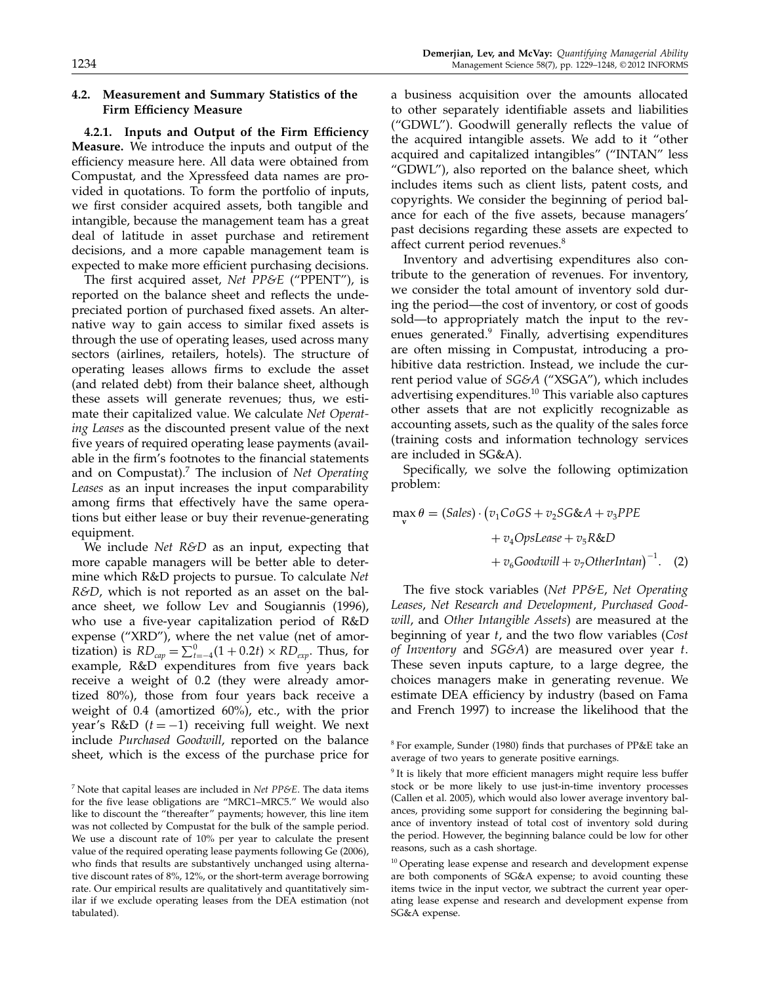# 4.2. Measurement and Summary Statistics of the Firm Efficiency Measure

4.2.1. Inputs and Output of the Firm Efficiency Measure. We introduce the inputs and output of the efficiency measure here. All data were obtained from Compustat, and the Xpressfeed data names are provided in quotations. To form the portfolio of inputs, we first consider acquired assets, both tangible and intangible, because the management team has a great deal of latitude in asset purchase and retirement decisions, and a more capable management team is expected to make more efficient purchasing decisions.

The first acquired asset, Net PP&E ("PPENT"), is reported on the balance sheet and reflects the undepreciated portion of purchased fixed assets. An alternative way to gain access to similar fixed assets is through the use of operating leases, used across many sectors (airlines, retailers, hotels). The structure of operating leases allows firms to exclude the asset (and related debt) from their balance sheet, although these assets will generate revenues; thus, we estimate their capitalized value. We calculate Net Operating Leases as the discounted present value of the next five years of required operating lease payments (available in the firm's footnotes to the financial statements and on Compustat).<sup>7</sup> The inclusion of Net Operating Leases as an input increases the input comparability among firms that effectively have the same operations but either lease or buy their revenue-generating equipment.

We include *Net R&D* as an input, expecting that more capable managers will be better able to determine which R&D projects to pursue. To calculate Net R&D, which is not reported as an asset on the balance sheet, we follow Lev and Sougiannis (1996), who use a five-year capitalization period of R&D expense ("XRD"), where the net value (net of amortization) is  $RD_{cap} = \sum_{t=-4}^{0} (1+0.2t) \times RD_{exp}$ . Thus, for example, R&D expenditures from five years back receive a weight of 0.2 (they were already amortized 80%), those from four years back receive a weight of 0.4 (amortized 60%), etc., with the prior year's R&D  $(t = -1)$  receiving full weight. We next include Purchased Goodwill, reported on the balance sheet, which is the excess of the purchase price for a business acquisition over the amounts allocated to other separately identifiable assets and liabilities ("GDWL"). Goodwill generally reflects the value of the acquired intangible assets. We add to it "other acquired and capitalized intangibles" ("INTAN" less "GDWL"), also reported on the balance sheet, which includes items such as client lists, patent costs, and copyrights. We consider the beginning of period balance for each of the five assets, because managers' past decisions regarding these assets are expected to affect current period revenues.<sup>8</sup>

Inventory and advertising expenditures also contribute to the generation of revenues. For inventory, we consider the total amount of inventory sold during the period—the cost of inventory, or cost of goods sold—to appropriately match the input to the revenues generated.<sup>9</sup> Finally, advertising expenditures are often missing in Compustat, introducing a prohibitive data restriction. Instead, we include the current period value of SG&A ("XSGA"), which includes advertising expenditures. $10$  This variable also captures other assets that are not explicitly recognizable as accounting assets, such as the quality of the sales force (training costs and information technology services are included in SG&A).

Specifically, we solve the following optimization problem:

$$
\max_{\mathbf{v}} \theta = (Sales) \cdot (v_1 \text{CoGS} + v_2 \text{SG} \& A + v_3 \text{PPE} + v_4 \text{Ops} \text{L} \& D + v_6 \text{Good} \& D + v_6 \text{Good} \& U + v_7 \text{Other} \text{Int} \text{an} \text{)}^{-1}. \quad (2)
$$

The five stock variables (Net PP&E, Net Operating Leases, Net Research and Development, Purchased Goodwill, and Other Intangible Assets) are measured at the beginning of year t, and the two flow variables (Cost of Inventory and  $SG\&A$ ) are measured over year t. These seven inputs capture, to a large degree, the choices managers make in generating revenue. We estimate DEA efficiency by industry (based on Fama and French 1997) to increase the likelihood that the

 $<sup>7</sup>$  Note that capital leases are included in *Net PP&E*. The data items</sup> for the five lease obligations are "MRC1–MRC5." We would also like to discount the "thereafter" payments; however, this line item was not collected by Compustat for the bulk of the sample period. We use a discount rate of 10% per year to calculate the present value of the required operating lease payments following Ge (2006), who finds that results are substantively unchanged using alternative discount rates of 8%, 12%, or the short-term average borrowing rate. Our empirical results are qualitatively and quantitatively similar if we exclude operating leases from the DEA estimation (not tabulated).

<sup>8</sup> For example, Sunder (1980) finds that purchases of PP&E take an average of two years to generate positive earnings.

<sup>&</sup>lt;sup>9</sup> It is likely that more efficient managers might require less buffer stock or be more likely to use just-in-time inventory processes (Callen et al. 2005), which would also lower average inventory balances, providing some support for considering the beginning balance of inventory instead of total cost of inventory sold during the period. However, the beginning balance could be low for other reasons, such as a cash shortage.

 $10$  Operating lease expense and research and development expense are both components of SG&A expense; to avoid counting these items twice in the input vector, we subtract the current year operating lease expense and research and development expense from SG&A expense.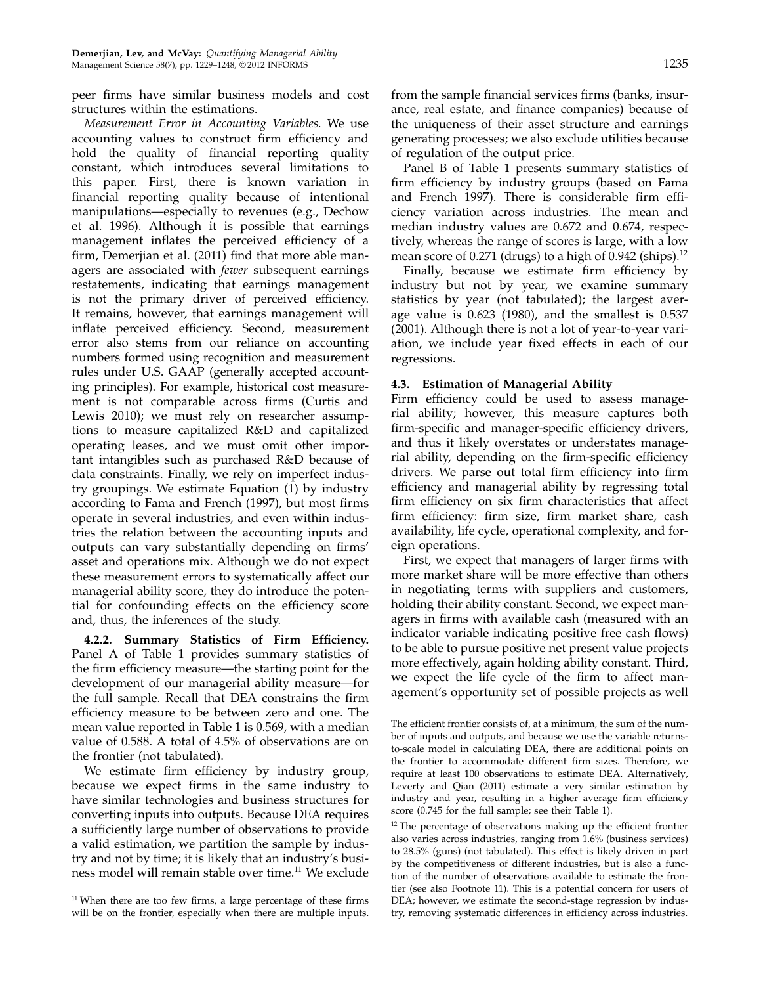peer firms have similar business models and cost structures within the estimations.

Measurement Error in Accounting Variables. We use accounting values to construct firm efficiency and hold the quality of financial reporting quality constant, which introduces several limitations to this paper. First, there is known variation in financial reporting quality because of intentional manipulations—especially to revenues (e.g., Dechow et al. 1996). Although it is possible that earnings management inflates the perceived efficiency of a firm, Demerjian et al. (2011) find that more able managers are associated with fewer subsequent earnings restatements, indicating that earnings management is not the primary driver of perceived efficiency. It remains, however, that earnings management will inflate perceived efficiency. Second, measurement error also stems from our reliance on accounting numbers formed using recognition and measurement rules under U.S. GAAP (generally accepted accounting principles). For example, historical cost measurement is not comparable across firms (Curtis and Lewis 2010); we must rely on researcher assumptions to measure capitalized R&D and capitalized operating leases, and we must omit other important intangibles such as purchased R&D because of data constraints. Finally, we rely on imperfect industry groupings. We estimate Equation (1) by industry according to Fama and French (1997), but most firms operate in several industries, and even within industries the relation between the accounting inputs and outputs can vary substantially depending on firms' asset and operations mix. Although we do not expect these measurement errors to systematically affect our managerial ability score, they do introduce the potential for confounding effects on the efficiency score and, thus, the inferences of the study.

4.2.2. Summary Statistics of Firm Efficiency. Panel A of Table 1 provides summary statistics of the firm efficiency measure—the starting point for the development of our managerial ability measure—for the full sample. Recall that DEA constrains the firm efficiency measure to be between zero and one. The mean value reported in Table 1 is 0.569, with a median value of 0.588. A total of 4.5% of observations are on the frontier (not tabulated).

We estimate firm efficiency by industry group, because we expect firms in the same industry to have similar technologies and business structures for converting inputs into outputs. Because DEA requires a sufficiently large number of observations to provide a valid estimation, we partition the sample by industry and not by time; it is likely that an industry's business model will remain stable over time.<sup>11</sup> We exclude from the sample financial services firms (banks, insurance, real estate, and finance companies) because of the uniqueness of their asset structure and earnings generating processes; we also exclude utilities because of regulation of the output price.

Panel B of Table 1 presents summary statistics of firm efficiency by industry groups (based on Fama and French 1997). There is considerable firm efficiency variation across industries. The mean and median industry values are 0.672 and 0.674, respectively, whereas the range of scores is large, with a low mean score of  $0.271$  (drugs) to a high of  $0.942$  (ships).<sup>12</sup>

Finally, because we estimate firm efficiency by industry but not by year, we examine summary statistics by year (not tabulated); the largest average value is 0.623 (1980), and the smallest is 0.537 (2001). Although there is not a lot of year-to-year variation, we include year fixed effects in each of our regressions.

# 4.3. Estimation of Managerial Ability

Firm efficiency could be used to assess managerial ability; however, this measure captures both firm-specific and manager-specific efficiency drivers, and thus it likely overstates or understates managerial ability, depending on the firm-specific efficiency drivers. We parse out total firm efficiency into firm efficiency and managerial ability by regressing total firm efficiency on six firm characteristics that affect firm efficiency: firm size, firm market share, cash availability, life cycle, operational complexity, and foreign operations.

First, we expect that managers of larger firms with more market share will be more effective than others in negotiating terms with suppliers and customers, holding their ability constant. Second, we expect managers in firms with available cash (measured with an indicator variable indicating positive free cash flows) to be able to pursue positive net present value projects more effectively, again holding ability constant. Third, we expect the life cycle of the firm to affect management's opportunity set of possible projects as well

 $11$  When there are too few firms, a large percentage of these firms will be on the frontier, especially when there are multiple inputs.

The efficient frontier consists of, at a minimum, the sum of the number of inputs and outputs, and because we use the variable returnsto-scale model in calculating DEA, there are additional points on the frontier to accommodate different firm sizes. Therefore, we require at least 100 observations to estimate DEA. Alternatively, Leverty and Qian (2011) estimate a very similar estimation by industry and year, resulting in a higher average firm efficiency score (0.745 for the full sample; see their Table 1).

<sup>&</sup>lt;sup>12</sup> The percentage of observations making up the efficient frontier also varies across industries, ranging from 1.6% (business services) to 28.5% (guns) (not tabulated). This effect is likely driven in part by the competitiveness of different industries, but is also a function of the number of observations available to estimate the frontier (see also Footnote 11). This is a potential concern for users of DEA; however, we estimate the second-stage regression by industry, removing systematic differences in efficiency across industries.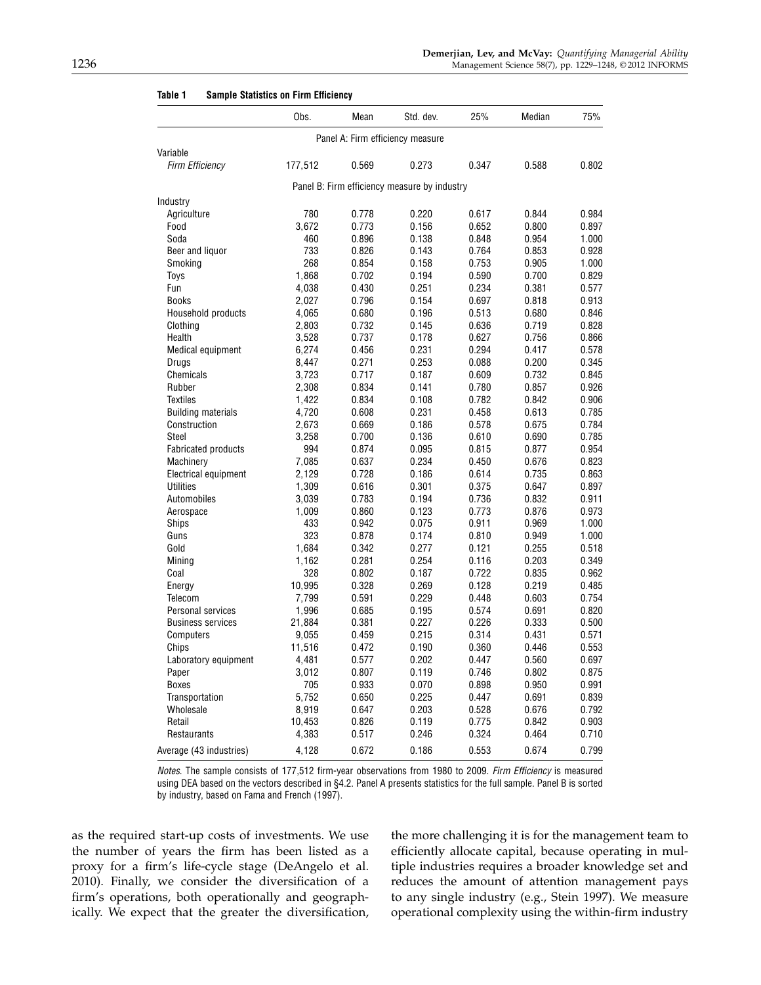|                            | Obs.    | Mean  | Std. dev.                                    | 25%   | Median | 75%   |
|----------------------------|---------|-------|----------------------------------------------|-------|--------|-------|
|                            |         |       | Panel A: Firm efficiency measure             |       |        |       |
| Variable                   |         |       |                                              |       |        |       |
| <b>Firm Efficiency</b>     | 177,512 | 0.569 | 0.273                                        | 0.347 | 0.588  | 0.802 |
|                            |         |       | Panel B: Firm efficiency measure by industry |       |        |       |
| Industry                   |         |       |                                              |       |        |       |
| Agriculture                | 780     | 0.778 | 0.220                                        | 0.617 | 0.844  | 0.984 |
| Food                       | 3,672   | 0.773 | 0.156                                        | 0.652 | 0.800  | 0.897 |
| Soda                       | 460     | 0.896 | 0.138                                        | 0.848 | 0.954  | 1.000 |
| Beer and liquor            | 733     | 0.826 | 0.143                                        | 0.764 | 0.853  | 0.928 |
| Smoking                    | 268     | 0.854 | 0.158                                        | 0.753 | 0.905  | 1.000 |
| Toys                       | 1,868   | 0.702 | 0.194                                        | 0.590 | 0.700  | 0.829 |
| Fun                        | 4,038   | 0.430 | 0.251                                        | 0.234 | 0.381  | 0.577 |
| <b>Books</b>               | 2,027   | 0.796 | 0.154                                        | 0.697 | 0.818  | 0.913 |
| Household products         | 4,065   | 0.680 | 0.196                                        | 0.513 | 0.680  | 0.846 |
| Clothing                   | 2,803   | 0.732 | 0.145                                        | 0.636 | 0.719  | 0.828 |
| Health                     | 3,528   | 0.737 | 0.178                                        | 0.627 | 0.756  | 0.866 |
| Medical equipment          | 6,274   | 0.456 | 0.231                                        | 0.294 | 0.417  | 0.578 |
| Drugs                      | 8,447   | 0.271 | 0.253                                        | 0.088 | 0.200  | 0.345 |
| Chemicals                  | 3,723   | 0.717 | 0.187                                        | 0.609 | 0.732  | 0.845 |
| Rubber                     | 2,308   | 0.834 | 0.141                                        | 0.780 | 0.857  | 0.926 |
| <b>Textiles</b>            | 1,422   | 0.834 | 0.108                                        | 0.782 | 0.842  | 0.906 |
| <b>Building materials</b>  | 4,720   | 0.608 | 0.231                                        | 0.458 | 0.613  | 0.785 |
| Construction               | 2,673   | 0.669 | 0.186                                        | 0.578 | 0.675  | 0.784 |
| Steel                      | 3,258   | 0.700 | 0.136                                        | 0.610 | 0.690  | 0.785 |
| <b>Fabricated products</b> | 994     | 0.874 | 0.095                                        | 0.815 | 0.877  | 0.954 |
| Machinery                  | 7,085   | 0.637 | 0.234                                        | 0.450 | 0.676  | 0.823 |
| Electrical equipment       | 2,129   | 0.728 | 0.186                                        | 0.614 | 0.735  | 0.863 |
| <b>Utilities</b>           | 1,309   | 0.616 | 0.301                                        | 0.375 | 0.647  | 0.897 |
| Automobiles                | 3,039   | 0.783 | 0.194                                        | 0.736 | 0.832  | 0.911 |
| Aerospace                  | 1,009   | 0.860 | 0.123                                        | 0.773 | 0.876  | 0.973 |
| Ships                      | 433     | 0.942 | 0.075                                        | 0.911 | 0.969  | 1.000 |
| Guns                       | 323     | 0.878 | 0.174                                        | 0.810 | 0.949  | 1.000 |
| Gold                       | 1,684   | 0.342 | 0.277                                        | 0.121 | 0.255  | 0.518 |
| Mining                     | 1,162   | 0.281 | 0.254                                        | 0.116 | 0.203  | 0.349 |
|                            | 328     | 0.802 | 0.187                                        | 0.722 | 0.835  | 0.962 |
| Coal<br>Energy             |         | 0.328 |                                              | 0.128 | 0.219  | 0.485 |
|                            | 10,995  | 0.591 | 0.269<br>0.229                               |       | 0.603  | 0.754 |
| Telecom                    | 7,799   |       |                                              | 0.448 |        |       |
| Personal services          | 1,996   | 0.685 | 0.195                                        | 0.574 | 0.691  | 0.820 |
| <b>Business services</b>   | 21,884  | 0.381 | 0.227                                        | 0.226 | 0.333  | 0.500 |
| Computers                  | 9,055   | 0.459 | 0.215                                        | 0.314 | 0.431  | 0.571 |
| Chips                      | 11,516  | 0.472 | 0.190                                        | 0.360 | 0.446  | 0.553 |
| Laboratory equipment       | 4,481   | 0.577 | 0.202                                        | 0.447 | 0.560  | 0.697 |
| Paper                      | 3,012   | 0.807 | 0.119                                        | 0.746 | 0.802  | 0.875 |
| Boxes                      | 705     | 0.933 | 0.070                                        | 0.898 | 0.950  | 0.991 |
| Transportation             | 5,752   | 0.650 | 0.225                                        | 0.447 | 0.691  | 0.839 |
| Wholesale                  | 8,919   | 0.647 | 0.203                                        | 0.528 | 0.676  | 0.792 |
| Retail                     | 10,453  | 0.826 | 0.119                                        | 0.775 | 0.842  | 0.903 |
| Restaurants                | 4,383   | 0.517 | 0.246                                        | 0.324 | 0.464  | 0.710 |
| Average (43 industries)    | 4,128   | 0.672 | 0.186                                        | 0.553 | 0.674  | 0.799 |

#### Table 1 Sample Statistics on Firm Efficiency

Notes. The sample consists of 177,512 firm-year observations from 1980 to 2009. Firm Efficiency is measured using DEA based on the vectors described in §4.2. Panel A presents statistics for the full sample. Panel B is sorted by industry, based on Fama and French (1997).

as the required start-up costs of investments. We use the number of years the firm has been listed as a proxy for a firm's life-cycle stage (DeAngelo et al. 2010). Finally, we consider the diversification of a firm's operations, both operationally and geographically. We expect that the greater the diversification, the more challenging it is for the management team to efficiently allocate capital, because operating in multiple industries requires a broader knowledge set and reduces the amount of attention management pays to any single industry (e.g., Stein 1997). We measure operational complexity using the within-firm industry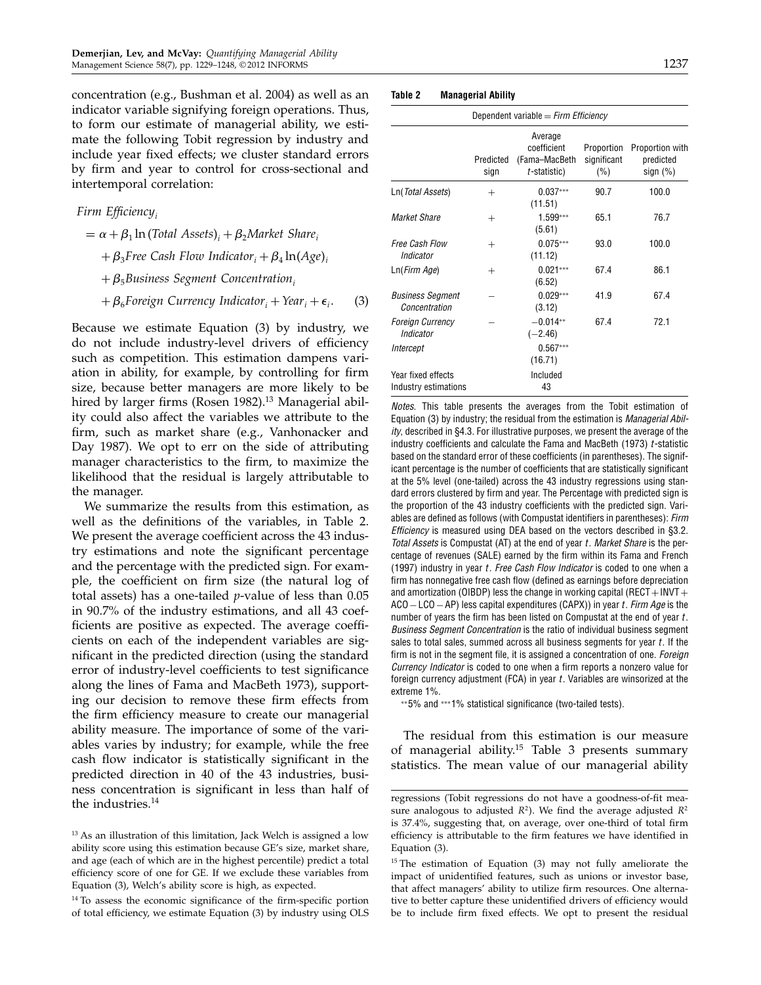concentration (e.g., Bushman et al. 2004) as well as an indicator variable signifying foreign operations. Thus, to form our estimate of managerial ability, we estimate the following Tobit regression by industry and include year fixed effects; we cluster standard errors by firm and year to control for cross-sectional and intertemporal correlation:

# Firm Efficiency,

 $= \alpha + \beta_1 \ln \left( \text{Total Assets} \right)_i + \beta_2 \text{Market Share}_i$  $+ \beta_3$ Free Cash Flow Indicator<sub>i</sub>  $+ \beta_4 \ln(Age)_i$  $+ \beta_5$ Business Segment Concentration<sub>i</sub>

 $+ \beta_6$ Foreign Currency Indicator<sub>i</sub> + Year<sub>i</sub> +  $\epsilon_i$ .  $(3)$ 

Because we estimate Equation (3) by industry, we do not include industry-level drivers of efficiency such as competition. This estimation dampens variation in ability, for example, by controlling for firm size, because better managers are more likely to be hired by larger firms (Rosen 1982).<sup>13</sup> Managerial ability could also affect the variables we attribute to the firm, such as market share (e.g., Vanhonacker and Day 1987). We opt to err on the side of attributing manager characteristics to the firm, to maximize the likelihood that the residual is largely attributable to the manager.

We summarize the results from this estimation, as well as the definitions of the variables, in Table 2. We present the average coefficient across the 43 industry estimations and note the significant percentage and the percentage with the predicted sign. For example, the coefficient on firm size (the natural log of total assets) has a one-tailed  $p$ -value of less than 0.05 in 90.7% of the industry estimations, and all 43 coefficients are positive as expected. The average coefficients on each of the independent variables are significant in the predicted direction (using the standard error of industry-level coefficients to test significance along the lines of Fama and MacBeth 1973), supporting our decision to remove these firm effects from the firm efficiency measure to create our managerial ability measure. The importance of some of the variables varies by industry; for example, while the free cash flow indicator is statistically significant in the predicted direction in 40 of the 43 industries, business concentration is significant in less than half of the industries.<sup>14</sup>

| Table 2 | <b>Managerial Ability</b> |
|---------|---------------------------|
|---------|---------------------------|

| Dependent variable = $Firm$ <i>Efficiency</i> |                   |                                                         |                                  |                                             |  |  |  |  |  |
|-----------------------------------------------|-------------------|---------------------------------------------------------|----------------------------------|---------------------------------------------|--|--|--|--|--|
|                                               | Predicted<br>sign | Average<br>coefficient<br>(Fama-MacBeth<br>t-statistic) | Proportion<br>significant<br>(%) | Proportion with<br>predicted<br>sign $(\%)$ |  |  |  |  |  |
| Ln(Total Assets)                              | $^{+}$            | $0.037***$<br>(11.51)                                   | 90.7                             | 100.0                                       |  |  |  |  |  |
| Market Share                                  | $^{+}$            | 1.599***<br>(5.61)                                      | 65.1                             | 76.7                                        |  |  |  |  |  |
| Free Cash Flow<br>Indicator                   | $^{+}$            | $0.075***$<br>(11.12)                                   | 93.0                             | 100.0                                       |  |  |  |  |  |
| Ln( <i>Firm Age</i> )                         | $^{+}$            | $0.021***$<br>(6.52)                                    | 67.4                             | 86.1                                        |  |  |  |  |  |
| <b>Business Segment</b><br>Concentration      |                   | $0.029***$<br>(3.12)                                    | 41.9                             | 67.4                                        |  |  |  |  |  |
| <b>Foreign Currency</b><br>Indicator          |                   | $-0.014**$<br>$(-2.46)$                                 | 674                              | 72.1                                        |  |  |  |  |  |
| Intercept                                     |                   | $0.567***$<br>(16.71)                                   |                                  |                                             |  |  |  |  |  |
| Year fixed effects<br>Industry estimations    |                   | Included<br>43                                          |                                  |                                             |  |  |  |  |  |

Notes. This table presents the averages from the Tobit estimation of Equation (3) by industry; the residual from the estimation is Managerial Ability, described in §4.3. For illustrative purposes, we present the average of the industry coefficients and calculate the Fama and MacBeth (1973)  $t$ -statistic based on the standard error of these coefficients (in parentheses). The significant percentage is the number of coefficients that are statistically significant at the 5% level (one-tailed) across the 43 industry regressions using standard errors clustered by firm and year. The Percentage with predicted sign is the proportion of the 43 industry coefficients with the predicted sign. Variables are defined as follows (with Compustat identifiers in parentheses): Firm Efficiency is measured using DEA based on the vectors described in §3.2. Total Assets is Compustat (AT) at the end of year t. Market Share is the percentage of revenues (SALE) earned by the firm within its Fama and French (1997) industry in year t. Free Cash Flow Indicator is coded to one when a firm has nonnegative free cash flow (defined as earnings before depreciation and amortization (OIBDP) less the change in working capital (RECT + INVT + ACO – LCO – AP) less capital expenditures (CAPX)) in year t. Firm Age is the number of years the firm has been listed on Compustat at the end of year t. Business Segment Concentration is the ratio of individual business segment sales to total sales, summed across all business segments for year  $t$ . If the firm is not in the segment file, it is assigned a concentration of one. Foreign Currency Indicator is coded to one when a firm reports a nonzero value for foreign currency adjustment (FCA) in year  $t$ . Variables are winsorized at the extreme 1%.

∗∗5% and ∗∗∗1% statistical significance (two-tailed tests).

The residual from this estimation is our measure of managerial ability.<sup>15</sup> Table 3 presents summary statistics. The mean value of our managerial ability

<sup>&</sup>lt;sup>13</sup> As an illustration of this limitation, Jack Welch is assigned a low ability score using this estimation because GE's size, market share, and age (each of which are in the highest percentile) predict a total efficiency score of one for GE. If we exclude these variables from Equation (3), Welch's ability score is high, as expected.

<sup>&</sup>lt;sup>14</sup> To assess the economic significance of the firm-specific portion of total efficiency, we estimate Equation (3) by industry using OLS

regressions (Tobit regressions do not have a goodness-of-fit measure analogous to adjusted  $R^2$ ). We find the average adjusted  $R^2$ is 37.4%, suggesting that, on average, over one-third of total firm efficiency is attributable to the firm features we have identified in Equation (3).

<sup>&</sup>lt;sup>15</sup> The estimation of Equation (3) may not fully ameliorate the impact of unidentified features, such as unions or investor base, that affect managers' ability to utilize firm resources. One alternative to better capture these unidentified drivers of efficiency would be to include firm fixed effects. We opt to present the residual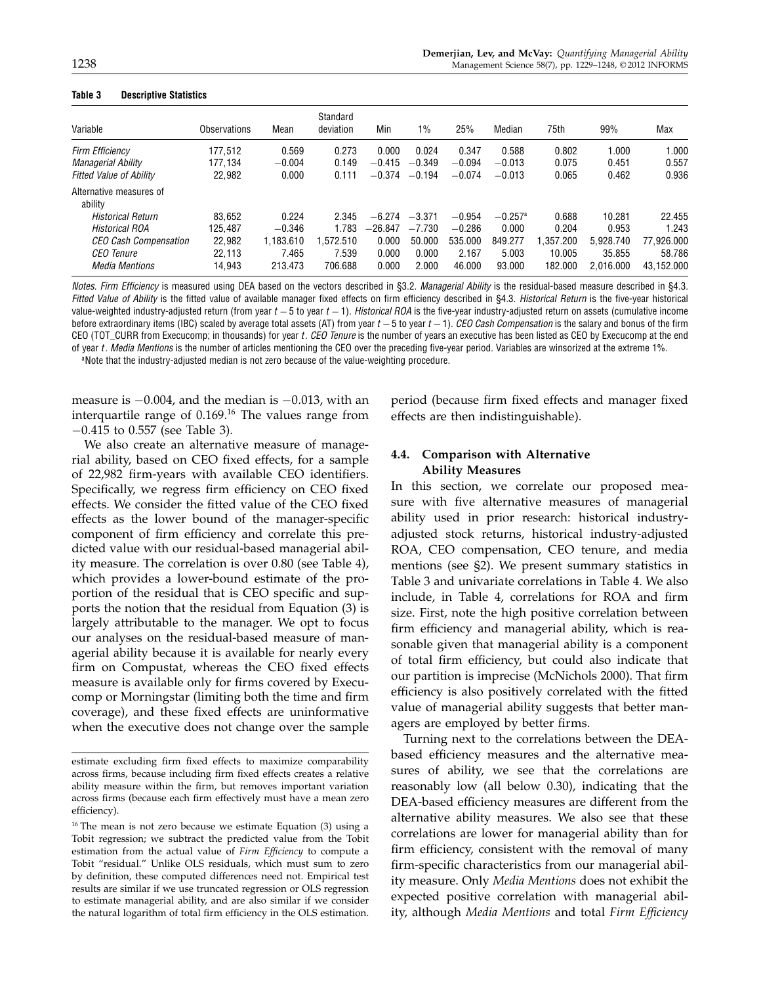| Variable                           | Observations | Mean      | Standard<br>deviation | Min       | $1\%$    | 25%      | Median                | 75th      | 99%       | Max        |
|------------------------------------|--------------|-----------|-----------------------|-----------|----------|----------|-----------------------|-----------|-----------|------------|
| <b>Firm Efficiency</b>             | 177.512      | 0.569     | 0.273                 | 0.000     | 0.024    | 0.347    | 0.588                 | 0.802     | 1.000     | 1.000      |
| <b>Managerial Ability</b>          | 177.134      | $-0.004$  | 0.149                 | $-0.415$  | $-0.349$ | $-0.094$ | $-0.013$              | 0.075     | 0.451     | 0.557      |
| <b>Fitted Value of Ability</b>     | 22,982       | 0.000     | 0.111                 | $-0.374$  | $-0.194$ | $-0.074$ | $-0.013$              | 0.065     | 0.462     | 0.936      |
| Alternative measures of<br>ability |              |           |                       |           |          |          |                       |           |           |            |
| <b>Historical Return</b>           | 83,652       | 0.224     | 2.345                 | $-6.274$  | $-3.371$ | $-0.954$ | $-0.257$ <sup>a</sup> | 0.688     | 10.281    | 22.455     |
| <b>Historical ROA</b>              | 125.487      | $-0.346$  | 1.783                 | $-26.847$ | $-7.730$ | $-0.286$ | 0.000                 | 0.204     | 0.953     | 1.243      |
| <b>CEO Cash Compensation</b>       | 22,982       | 1,183.610 | 1.572.510             | 0.000     | 50.000   | 535.000  | 849.277               | 1.357.200 | 5.928.740 | 77,926.000 |
| CEO Tenure                         | 22.113       | 7.465     | 7.539                 | 0.000     | 0.000    | 2.167    | 5.003                 | 10.005    | 35.855    | 58.786     |
| Media Mentions                     | 14,943       | 213.473   | 706.688               | 0.000     | 2.000    | 46.000   | 93.000                | 182.000   | 2.016.000 | 43.152.000 |

#### Table 3 Descriptive Statistics

Notes. Firm Efficiency is measured using DEA based on the vectors described in §3.2. Managerial Ability is the residual-based measure described in §4.3. Fitted Value of Ability is the fitted value of available manager fixed effects on firm efficiency described in §4.3. Historical Return is the five-year historical value-weighted industry-adjusted return (from year  $t - 5$  to year  $t - 1$ ). Historical ROA is the five-year industry-adjusted return on assets (cumulative income before extraordinary items (IBC) scaled by average total assets (AT) from year  $t - 5$  to year  $t - 1$ ). CEO Cash Compensation is the salary and bonus of the firm CEO (TOT\_CURR from Execucomp; in thousands) for year t. CEO Tenure is the number of years an executive has been listed as CEO by Execucomp at the end of year t. Media Mentions is the number of articles mentioning the CEO over the preceding five-year period. Variables are winsorized at the extreme 1%.

<sup>a</sup>Note that the industry-adjusted median is not zero because of the value-weighting procedure.

measure is  $-0.004$ , and the median is  $-0.013$ , with an interquartile range of  $0.169$ .<sup>16</sup> The values range from  $-0.415$  to 0.557 (see Table 3).

We also create an alternative measure of managerial ability, based on CEO fixed effects, for a sample of 22,982 firm-years with available CEO identifiers. Specifically, we regress firm efficiency on CEO fixed effects. We consider the fitted value of the CEO fixed effects as the lower bound of the manager-specific component of firm efficiency and correlate this predicted value with our residual-based managerial ability measure. The correlation is over 0.80 (see Table 4), which provides a lower-bound estimate of the proportion of the residual that is CEO specific and supports the notion that the residual from Equation (3) is largely attributable to the manager. We opt to focus our analyses on the residual-based measure of managerial ability because it is available for nearly every firm on Compustat, whereas the CEO fixed effects measure is available only for firms covered by Execucomp or Morningstar (limiting both the time and firm coverage), and these fixed effects are uninformative when the executive does not change over the sample period (because firm fixed effects and manager fixed effects are then indistinguishable).

### 4.4. Comparison with Alternative Ability Measures

In this section, we correlate our proposed measure with five alternative measures of managerial ability used in prior research: historical industryadjusted stock returns, historical industry-adjusted ROA, CEO compensation, CEO tenure, and media mentions (see §2). We present summary statistics in Table 3 and univariate correlations in Table 4. We also include, in Table 4, correlations for ROA and firm size. First, note the high positive correlation between firm efficiency and managerial ability, which is reasonable given that managerial ability is a component of total firm efficiency, but could also indicate that our partition is imprecise (McNichols 2000). That firm efficiency is also positively correlated with the fitted value of managerial ability suggests that better managers are employed by better firms.

Turning next to the correlations between the DEAbased efficiency measures and the alternative measures of ability, we see that the correlations are reasonably low (all below 0.30), indicating that the DEA-based efficiency measures are different from the alternative ability measures. We also see that these correlations are lower for managerial ability than for firm efficiency, consistent with the removal of many firm-specific characteristics from our managerial ability measure. Only Media Mentions does not exhibit the expected positive correlation with managerial ability, although Media Mentions and total Firm Efficiency

estimate excluding firm fixed effects to maximize comparability across firms, because including firm fixed effects creates a relative ability measure within the firm, but removes important variation across firms (because each firm effectively must have a mean zero efficiency).

<sup>&</sup>lt;sup>16</sup> The mean is not zero because we estimate Equation (3) using a Tobit regression; we subtract the predicted value from the Tobit estimation from the actual value of Firm Efficiency to compute a Tobit "residual." Unlike OLS residuals, which must sum to zero by definition, these computed differences need not. Empirical test results are similar if we use truncated regression or OLS regression to estimate managerial ability, and are also similar if we consider the natural logarithm of total firm efficiency in the OLS estimation.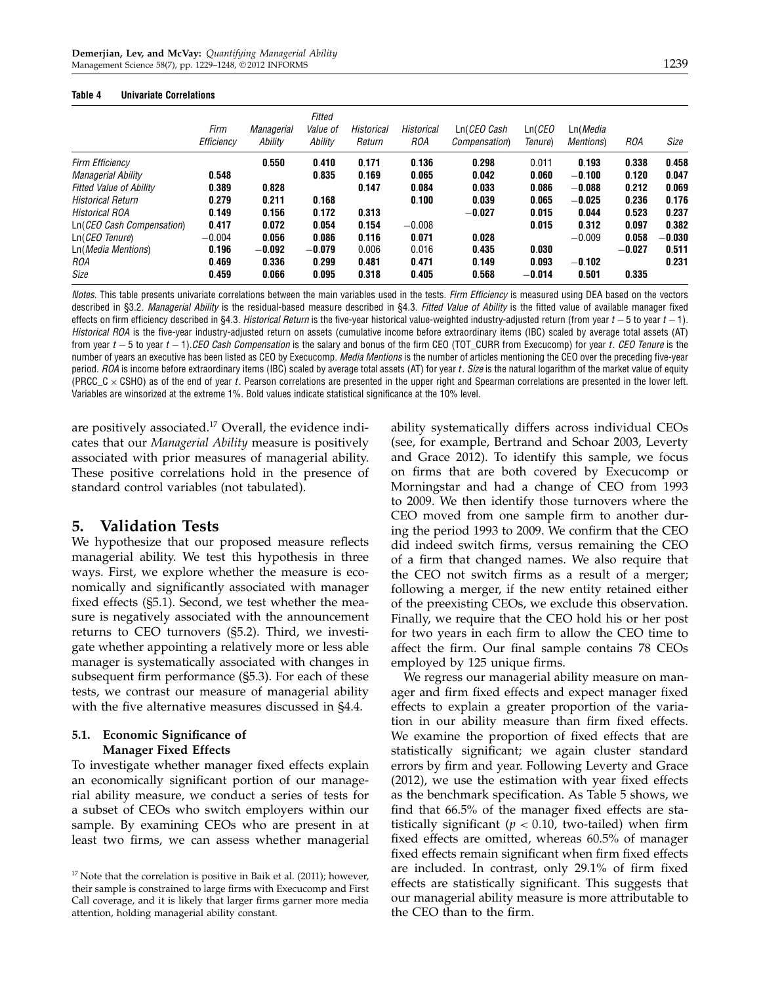#### Table 4 Univariate Correlations

|                                | Firm<br>Efficiency | <b>Managerial</b><br>Ability | Fitted<br>Value of<br>Ability | <b>Historical</b><br>Return | Historical<br><b>ROA</b> | Ln(CEO Cash<br><i>Compensation</i> ) | Ln(CEO)<br>Tenure) | Ln( <i>Media</i><br><b>Mentions</b> ) | <i>ROA</i> | Size     |
|--------------------------------|--------------------|------------------------------|-------------------------------|-----------------------------|--------------------------|--------------------------------------|--------------------|---------------------------------------|------------|----------|
| <b>Firm Efficiency</b>         |                    | 0.550                        | 0.410                         | 0.171                       | 0.136                    | 0.298                                | 0.011              | 0.193                                 | 0.338      | 0.458    |
| <b>Managerial Ability</b>      | 0.548              |                              | 0.835                         | 0.169                       | 0.065                    | 0.042                                | 0.060              | $-0.100$                              | 0.120      | 0.047    |
| <b>Fitted Value of Ability</b> | 0.389              | 0.828                        |                               | 0.147                       | 0.084                    | 0.033                                | 0.086              | $-0.088$                              | 0.212      | 0.069    |
| <b>Historical Return</b>       | 0.279              | 0.211                        | 0.168                         |                             | 0.100                    | 0.039                                | 0.065              | $-0.025$                              | 0.236      | 0.176    |
| <b>Historical ROA</b>          | 0.149              | 0.156                        | 0.172                         | 0.313                       |                          | $-0.027$                             | 0.015              | 0.044                                 | 0.523      | 0.237    |
| Ln(CEO Cash Compensation)      | 0.417              | 0.072                        | 0.054                         | 0.154                       | $-0.008$                 |                                      | 0.015              | 0.312                                 | 0.097      | 0.382    |
| Ln(CEO Tenure)                 | $-0.004$           | 0.056                        | 0.086                         | 0.116                       | 0.071                    | 0.028                                |                    | $-0.009$                              | 0.058      | $-0.030$ |
| Ln( <i>Media Mentions</i> )    | 0.196              | $-0.092$                     | $-0.079$                      | 0.006                       | 0.016                    | 0.435                                | 0.030              |                                       | $-0.027$   | 0.511    |
| <i>ROA</i>                     | 0.469              | 0.336                        | 0.299                         | 0.481                       | 0.471                    | 0.149                                | 0.093              | $-0.102$                              |            | 0.231    |
| Size                           | 0.459              | 0.066                        | 0.095                         | 0.318                       | 0.405                    | 0.568                                | $-0.014$           | 0.501                                 | 0.335      |          |

Notes. This table presents univariate correlations between the main variables used in the tests. Firm Efficiency is measured using DEA based on the vectors described in §3.2. Managerial Ability is the residual-based measure described in §4.3. Fitted Value of Ability is the fitted value of available manager fixed effects on firm efficiency described in §4.3. Historical Return is the five-year historical value-weighted industry-adjusted return (from year t − 5 to year t − 1). Historical ROA is the five-year industry-adjusted return on assets (cumulative income before extraordinary items (IBC) scaled by average total assets (AT) from year t − 5 to year t − 1). CEO Cash Compensation is the salary and bonus of the firm CEO (TOT\_CURR from Execucomp) for year t. CEO Tenure is the number of years an executive has been listed as CEO by Execucomp. Media Mentions is the number of articles mentioning the CEO over the preceding five-year period. ROA is income before extraordinary items (IBC) scaled by average total assets (AT) for year t. Size is the natural logarithm of the market value of equity (PRCC\_C  $\times$  CSHO) as of the end of year t. Pearson correlations are presented in the upper right and Spearman correlations are presented in the lower left. Variables are winsorized at the extreme 1%. Bold values indicate statistical significance at the 10% level.

are positively associated.<sup>17</sup> Overall, the evidence indicates that our Managerial Ability measure is positively associated with prior measures of managerial ability. These positive correlations hold in the presence of standard control variables (not tabulated).

# 5. Validation Tests

We hypothesize that our proposed measure reflects managerial ability. We test this hypothesis in three ways. First, we explore whether the measure is economically and significantly associated with manager fixed effects (§5.1). Second, we test whether the measure is negatively associated with the announcement returns to CEO turnovers (§5.2). Third, we investigate whether appointing a relatively more or less able manager is systematically associated with changes in subsequent firm performance (§5.3). For each of these tests, we contrast our measure of managerial ability with the five alternative measures discussed in §4.4.

### 5.1. Economic Significance of Manager Fixed Effects

To investigate whether manager fixed effects explain an economically significant portion of our managerial ability measure, we conduct a series of tests for a subset of CEOs who switch employers within our sample. By examining CEOs who are present in at least two firms, we can assess whether managerial ability systematically differs across individual CEOs (see, for example, Bertrand and Schoar 2003, Leverty and Grace 2012). To identify this sample, we focus on firms that are both covered by Execucomp or Morningstar and had a change of CEO from 1993 to 2009. We then identify those turnovers where the CEO moved from one sample firm to another during the period 1993 to 2009. We confirm that the CEO did indeed switch firms, versus remaining the CEO of a firm that changed names. We also require that the CEO not switch firms as a result of a merger; following a merger, if the new entity retained either of the preexisting CEOs, we exclude this observation. Finally, we require that the CEO hold his or her post for two years in each firm to allow the CEO time to affect the firm. Our final sample contains 78 CEOs employed by 125 unique firms.

We regress our managerial ability measure on manager and firm fixed effects and expect manager fixed effects to explain a greater proportion of the variation in our ability measure than firm fixed effects. We examine the proportion of fixed effects that are statistically significant; we again cluster standard errors by firm and year. Following Leverty and Grace (2012), we use the estimation with year fixed effects as the benchmark specification. As Table 5 shows, we find that 66.5% of the manager fixed effects are statistically significant ( $p < 0.10$ , two-tailed) when firm fixed effects are omitted, whereas 60.5% of manager fixed effects remain significant when firm fixed effects are included. In contrast, only 29.1% of firm fixed effects are statistically significant. This suggests that our managerial ability measure is more attributable to the CEO than to the firm.

 $17$  Note that the correlation is positive in Baik et al. (2011); however, their sample is constrained to large firms with Execucomp and First Call coverage, and it is likely that larger firms garner more media attention, holding managerial ability constant.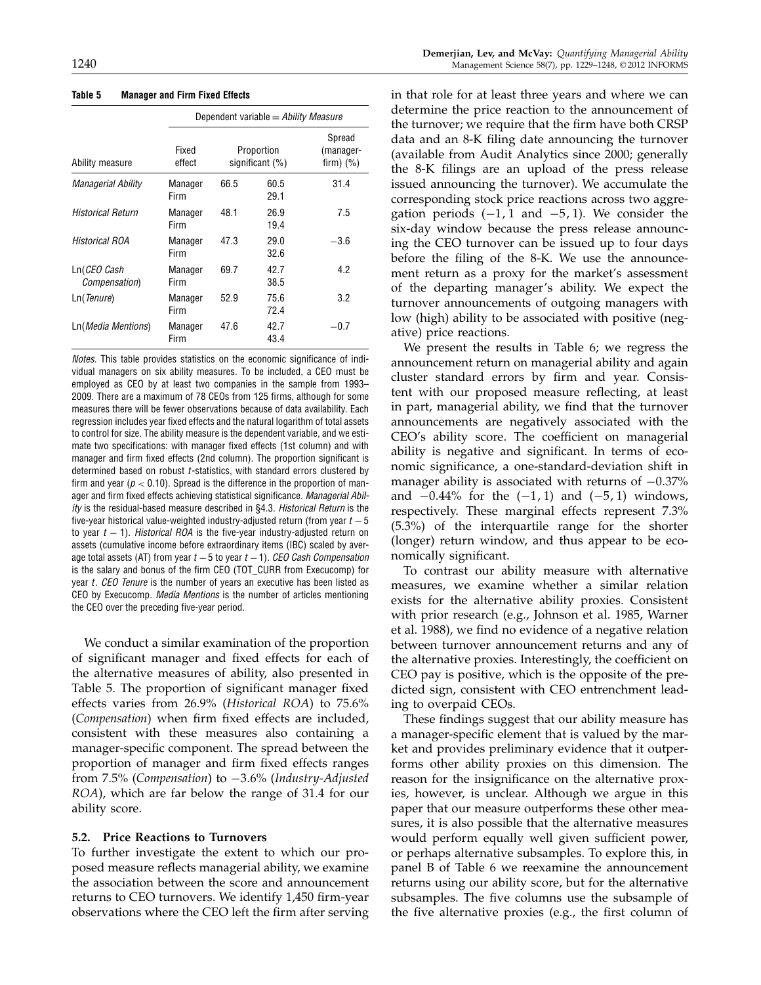| Table 5 | <b>Manager and Firm Fixed Effects</b> |
|---------|---------------------------------------|
|---------|---------------------------------------|

|                                      | Dependent variable $=$ Ability Measure |      |                               |                                      |  |  |  |  |  |
|--------------------------------------|----------------------------------------|------|-------------------------------|--------------------------------------|--|--|--|--|--|
| Ability measure                      | Fixed<br>effect                        |      | Proportion<br>significant (%) | Spread<br>(manager-<br>firm) $(\% )$ |  |  |  |  |  |
| Managerial Ability                   | Manager<br>Firm                        | 66.5 | 60.5<br>29.1                  | 31.4                                 |  |  |  |  |  |
| Historical Return                    | Manager<br>Firm                        | 48.1 | 26.9<br>19.4                  | 7.5                                  |  |  |  |  |  |
| Historical ROA                       | Manager<br>Firm                        | 47.3 | 29.0<br>32.6                  | $-3.6$                               |  |  |  |  |  |
| Ln(CEO Cash<br><i>Compensation</i> ) | Manager<br>Firm                        | 69.7 | 42.7<br>38.5                  | 4.2                                  |  |  |  |  |  |
| Ln(Tenure)                           | Manager<br>Firm                        | 52.9 | 75.6<br>72.4                  | 3.2                                  |  |  |  |  |  |
| Ln( <i>Media Mentions</i> )          | Manager<br>Firm                        | 47.6 | 42.7<br>43.4                  | $-0.7$                               |  |  |  |  |  |

Notes. This table provides statistics on the economic significance of individual managers on six ability measures. To be included, a CEO must be employed as CEO by at least two companies in the sample from 1993– 2009. There are a maximum of 78 CEOs from 125 firms, although for some measures there will be fewer observations because of data availability. Each regression includes year fixed effects and the natural logarithm of total assets to control for size. The ability measure is the dependent variable, and we estimate two specifications: with manager fixed effects (1st column) and with manager and firm fixed effects (2nd column). The proportion significant is determined based on robust t-statistics, with standard errors clustered by firm and year ( $p < 0.10$ ). Spread is the difference in the proportion of manager and firm fixed effects achieving statistical significance. Managerial Ability is the residual-based measure described in §4.3. Historical Return is the five-year historical value-weighted industry-adjusted return (from year  $t - 5$ to year  $t - 1$ ). Historical ROA is the five-year industry-adjusted return on assets (cumulative income before extraordinary items (IBC) scaled by average total assets (AT) from year  $t - 5$  to year  $t - 1$ ). CEO Cash Compensation is the salary and bonus of the firm CEO (TOT\_CURR from Execucomp) for year t. CEO Tenure is the number of years an executive has been listed as CEO by Execucomp. Media Mentions is the number of articles mentioning the CEO over the preceding five-year period.

We conduct a similar examination of the proportion of significant manager and fixed effects for each of the alternative measures of ability, also presented in Table 5. The proportion of significant manager fixed effects varies from 26.9% (Historical ROA) to 75.6% (Compensation) when firm fixed effects are included, consistent with these measures also containing a manager-specific component. The spread between the proportion of manager and firm fixed effects ranges from 7.5% (Compensation) to  $-3.6$ % (Industry-Adjusted ROA), which are far below the range of 31.4 for our ability score.

#### 5.2. Price Reactions to Turnovers

To further investigate the extent to which our proposed measure reflects managerial ability, we examine the association between the score and announcement returns to CEO turnovers. We identify 1,450 firm-year observations where the CEO left the firm after serving in that role for at least three years and where we can determine the price reaction to the announcement of the turnover; we require that the firm have both CRSP data and an 8-K filing date announcing the turnover (available from Audit Analytics since 2000; generally the 8-K filings are an upload of the press release issued announcing the turnover). We accumulate the corresponding stock price reactions across two aggregation periods  $(-1, 1 \text{ and } -5, 1)$ . We consider the six-day window because the press release announcing the CEO turnover can be issued up to four days before the filing of the 8-K. We use the announcement return as a proxy for the market's assessment of the departing manager's ability. We expect the turnover announcements of outgoing managers with low (high) ability to be associated with positive (negative) price reactions.

We present the results in Table 6; we regress the announcement return on managerial ability and again cluster standard errors by firm and year. Consistent with our proposed measure reflecting, at least in part, managerial ability, we find that the turnover announcements are negatively associated with the CEO's ability score. The coefficient on managerial ability is negative and significant. In terms of economic significance, a one-standard-deviation shift in manager ability is associated with returns of  $-0.37\%$ and  $-0.44\%$  for the  $(-1, 1)$  and  $(-5, 1)$  windows, respectively. These marginal effects represent 7.3% (5.3%) of the interquartile range for the shorter (longer) return window, and thus appear to be economically significant.

To contrast our ability measure with alternative measures, we examine whether a similar relation exists for the alternative ability proxies. Consistent with prior research (e.g., Johnson et al. 1985, Warner et al. 1988), we find no evidence of a negative relation between turnover announcement returns and any of the alternative proxies. Interestingly, the coefficient on CEO pay is positive, which is the opposite of the predicted sign, consistent with CEO entrenchment leading to overpaid CEOs.

These findings suggest that our ability measure has a manager-specific element that is valued by the market and provides preliminary evidence that it outperforms other ability proxies on this dimension. The reason for the insignificance on the alternative proxies, however, is unclear. Although we argue in this paper that our measure outperforms these other measures, it is also possible that the alternative measures would perform equally well given sufficient power, or perhaps alternative subsamples. To explore this, in panel B of Table 6 we reexamine the announcement returns using our ability score, but for the alternative subsamples. The five columns use the subsample of the five alternative proxies (e.g., the first column of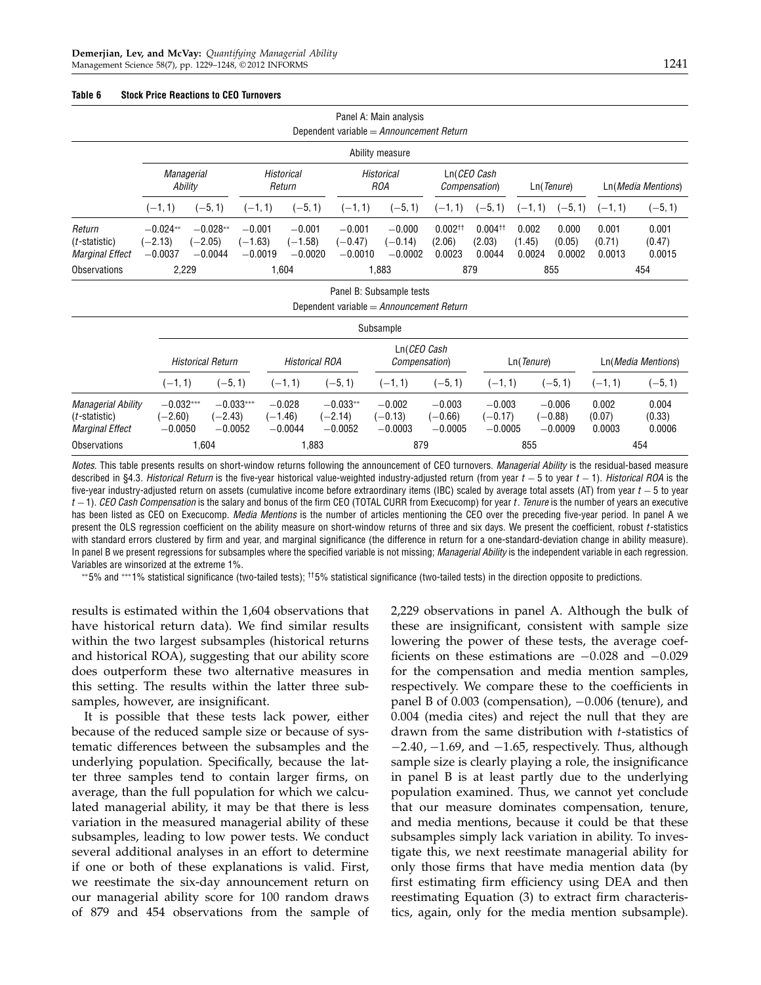#### Table 6 Stock Price Reactions to CEO Turnovers

|                                                                               |                                               |                                      |                                    |                                    |                                      | Panel A: Main analysis<br>Dependent variable = Announcement Return   |                                                              |                                                             |                           |                                    |                             |                             |
|-------------------------------------------------------------------------------|-----------------------------------------------|--------------------------------------|------------------------------------|------------------------------------|--------------------------------------|----------------------------------------------------------------------|--------------------------------------------------------------|-------------------------------------------------------------|---------------------------|------------------------------------|-----------------------------|-----------------------------|
|                                                                               |                                               |                                      |                                    |                                    |                                      | Ability measure                                                      |                                                              |                                                             |                           |                                    |                             |                             |
|                                                                               | Historical<br>Managerial<br>Return<br>Ability |                                      |                                    |                                    | <b>Historical</b><br><b>ROA</b>      |                                                                      | Ln(CEO Cash<br>Compensation)                                 |                                                             | Ln(Tenure)                |                                    | Ln( <i>Media Mentions</i> ) |                             |
|                                                                               | $(-1, 1)$                                     | $(-5, 1)$                            | $(-1, 1)$                          | $(-5, 1)$                          | $(-1, 1)$                            | $(-5, 1)$                                                            | $(-1, 1)$                                                    | $(-5, 1)$                                                   | $(-1, 1)$                 | $(-5, 1)$                          | $(-1, 1)$                   | $(-5, 1)$                   |
| Return<br>( <i>t</i> -statistic)<br><b>Marginal Effect</b>                    | $-0.024**$<br>$(-2.13)$<br>$-0.0037$          | $-0.028**$<br>$(-2.05)$<br>$-0.0044$ | $-0.001$<br>$(-1.63)$<br>$-0.0019$ | $-0.001$<br>$(-1.58)$<br>$-0.0020$ | $-0.001$<br>$(-0.47)$<br>$-0.0010$   | $-0.000$<br>$(-0.14)$<br>$-0.0002$                                   | $0.002$ <sup><math>\dagger</math>†</sup><br>(2.06)<br>0.0023 | $0.004$ <sup><math>\dagger</math></sup><br>(2.03)<br>0.0044 | 0.002<br>(1.45)<br>0.0024 | 0.000<br>(0.05)<br>0.0002          | 0.001<br>(0.71)<br>0.0013   | 0.001<br>(0.47)<br>0.0015   |
| Observations                                                                  | 2,229<br>1,604                                |                                      |                                    |                                    |                                      | 1,883<br>879                                                         |                                                              | 855                                                         |                           | 454                                |                             |                             |
|                                                                               |                                               |                                      |                                    |                                    |                                      | Panel B: Subsample tests<br>Dependent variable = Announcement Return |                                                              |                                                             |                           |                                    |                             |                             |
|                                                                               |                                               |                                      |                                    |                                    |                                      | Subsample                                                            |                                                              |                                                             |                           |                                    |                             |                             |
|                                                                               |                                               | <b>Historical Return</b>             |                                    | <b>Historical ROA</b>              |                                      |                                                                      | Ln(CEO Cash<br>Compensation)                                 | Ln(Tenure)                                                  |                           |                                    |                             | Ln( <i>Media Mentions</i> ) |
|                                                                               | $(-1, 1)$                                     | $(-5, 1)$                            |                                    | $(-1, 1)$                          | $(-5, 1)$                            | $(-1, 1)$                                                            | $(-5, 1)$                                                    | $(-1, 1)$                                                   |                           | $(-5, 1)$                          | $(-1, 1)$                   | $(-5, 1)$                   |
| <b>Managerial Ability</b><br>( <i>t</i> -statistic)<br><b>Marginal Effect</b> | $-0.032***$<br>$(-2.60)$<br>$-0.0050$         | $(-2.43)$<br>$-0.0052$               | $-0.033***$                        | $-0.028$<br>$(-1.46)$<br>$-0.0044$ | $-0.033**$<br>$(-2.14)$<br>$-0.0052$ | $-0.002$<br>$(-0.13)$<br>$-0.0003$                                   | $-0.003$<br>$(-0.66)$<br>$-0.0005$                           | $-0.003$<br>$(-0.17)$<br>$-0.0005$                          |                           | $-0.006$<br>$(-0.88)$<br>$-0.0009$ | 0.002<br>(0.07)<br>0.0003   | 0.004<br>(0.33)<br>0.0006   |
| <b>Observations</b>                                                           |                                               | 1,604<br>1,883<br>879<br>855<br>454  |                                    |                                    |                                      |                                                                      |                                                              |                                                             |                           |                                    |                             |                             |

Notes. This table presents results on short-window returns following the announcement of CEO turnovers. Managerial Ability is the residual-based measure described in §4.3. Historical Return is the five-year historical value-weighted industry-adjusted return (from year t − 5 to year t − 1). Historical ROA is the five-year industry-adjusted return on assets (cumulative income before extraordinary items (IBC) scaled by average total assets (AT) from year t − 5 to year t −1). CEO Cash Compensation is the salary and bonus of the firm CEO (TOTAL CURR from Execucomp) for year t. Tenure is the number of years an executive has been listed as CEO on Execucomp. Media Mentions is the number of articles mentioning the CEO over the preceding five-year period. In panel A we present the OLS regression coefficient on the ability measure on short-window returns of three and six days. We present the coefficient, robust t-statistics with standard errors clustered by firm and year, and marginal significance (the difference in return for a one-standard-deviation change in ability measure). In panel B we present regressions for subsamples where the specified variable is not missing; Managerial Ability is the independent variable in each regression. Variables are winsorized at the extreme 1%.

∗∗5% and ∗∗∗1% statistical significance (two-tailed tests); ††5% statistical significance (two-tailed tests) in the direction opposite to predictions.

results is estimated within the 1,604 observations that have historical return data). We find similar results within the two largest subsamples (historical returns and historical ROA), suggesting that our ability score does outperform these two alternative measures in this setting. The results within the latter three subsamples, however, are insignificant.

It is possible that these tests lack power, either because of the reduced sample size or because of systematic differences between the subsamples and the underlying population. Specifically, because the latter three samples tend to contain larger firms, on average, than the full population for which we calculated managerial ability, it may be that there is less variation in the measured managerial ability of these subsamples, leading to low power tests. We conduct several additional analyses in an effort to determine if one or both of these explanations is valid. First, we reestimate the six-day announcement return on our managerial ability score for 100 random draws of 879 and 454 observations from the sample of 2,229 observations in panel A. Although the bulk of these are insignificant, consistent with sample size lowering the power of these tests, the average coefficients on these estimations are  $-0.028$  and  $-0.029$ for the compensation and media mention samples, respectively. We compare these to the coefficients in panel B of  $0.003$  (compensation),  $-0.006$  (tenure), and 0.004 (media cites) and reject the null that they are drawn from the same distribution with t-statistics of  $-2.40, -1.69$ , and  $-1.65$ , respectively. Thus, although sample size is clearly playing a role, the insignificance in panel B is at least partly due to the underlying population examined. Thus, we cannot yet conclude that our measure dominates compensation, tenure, and media mentions, because it could be that these subsamples simply lack variation in ability. To investigate this, we next reestimate managerial ability for only those firms that have media mention data (by first estimating firm efficiency using DEA and then reestimating Equation (3) to extract firm characteristics, again, only for the media mention subsample).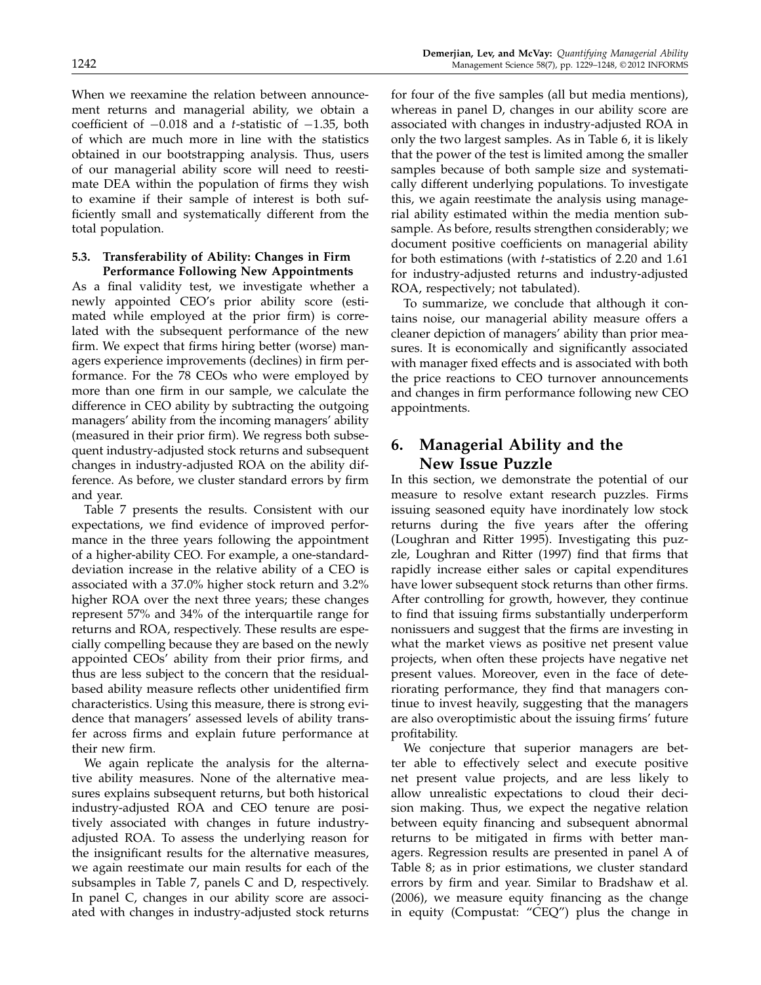When we reexamine the relation between announcement returns and managerial ability, we obtain a coefficient of  $-0.018$  and a *t*-statistic of  $-1.35$ , both of which are much more in line with the statistics obtained in our bootstrapping analysis. Thus, users of our managerial ability score will need to reestimate DEA within the population of firms they wish to examine if their sample of interest is both sufficiently small and systematically different from the total population.

## 5.3. Transferability of Ability: Changes in Firm Performance Following New Appointments

As a final validity test, we investigate whether a newly appointed CEO's prior ability score (estimated while employed at the prior firm) is correlated with the subsequent performance of the new firm. We expect that firms hiring better (worse) managers experience improvements (declines) in firm performance. For the 78 CEOs who were employed by more than one firm in our sample, we calculate the difference in CEO ability by subtracting the outgoing managers' ability from the incoming managers' ability (measured in their prior firm). We regress both subsequent industry-adjusted stock returns and subsequent changes in industry-adjusted ROA on the ability difference. As before, we cluster standard errors by firm and year.

Table 7 presents the results. Consistent with our expectations, we find evidence of improved performance in the three years following the appointment of a higher-ability CEO. For example, a one-standarddeviation increase in the relative ability of a CEO is associated with a 37.0% higher stock return and 3.2% higher ROA over the next three years; these changes represent 57% and 34% of the interquartile range for returns and ROA, respectively. These results are especially compelling because they are based on the newly appointed CEOs' ability from their prior firms, and thus are less subject to the concern that the residualbased ability measure reflects other unidentified firm characteristics. Using this measure, there is strong evidence that managers' assessed levels of ability transfer across firms and explain future performance at their new firm.

We again replicate the analysis for the alternative ability measures. None of the alternative measures explains subsequent returns, but both historical industry-adjusted ROA and CEO tenure are positively associated with changes in future industryadjusted ROA. To assess the underlying reason for the insignificant results for the alternative measures, we again reestimate our main results for each of the subsamples in Table 7, panels C and D, respectively. In panel C, changes in our ability score are associated with changes in industry-adjusted stock returns for four of the five samples (all but media mentions), whereas in panel D, changes in our ability score are associated with changes in industry-adjusted ROA in only the two largest samples. As in Table 6, it is likely that the power of the test is limited among the smaller samples because of both sample size and systematically different underlying populations. To investigate this, we again reestimate the analysis using managerial ability estimated within the media mention subsample. As before, results strengthen considerably; we document positive coefficients on managerial ability for both estimations (with t-statistics of 2.20 and 1.61 for industry-adjusted returns and industry-adjusted ROA, respectively; not tabulated).

To summarize, we conclude that although it contains noise, our managerial ability measure offers a cleaner depiction of managers' ability than prior measures. It is economically and significantly associated with manager fixed effects and is associated with both the price reactions to CEO turnover announcements and changes in firm performance following new CEO appointments.

# 6. Managerial Ability and the New Issue Puzzle

In this section, we demonstrate the potential of our measure to resolve extant research puzzles. Firms issuing seasoned equity have inordinately low stock returns during the five years after the offering (Loughran and Ritter 1995). Investigating this puzzle, Loughran and Ritter (1997) find that firms that rapidly increase either sales or capital expenditures have lower subsequent stock returns than other firms. After controlling for growth, however, they continue to find that issuing firms substantially underperform nonissuers and suggest that the firms are investing in what the market views as positive net present value projects, when often these projects have negative net present values. Moreover, even in the face of deteriorating performance, they find that managers continue to invest heavily, suggesting that the managers are also overoptimistic about the issuing firms' future profitability.

We conjecture that superior managers are better able to effectively select and execute positive net present value projects, and are less likely to allow unrealistic expectations to cloud their decision making. Thus, we expect the negative relation between equity financing and subsequent abnormal returns to be mitigated in firms with better managers. Regression results are presented in panel A of Table 8; as in prior estimations, we cluster standard errors by firm and year. Similar to Bradshaw et al. (2006), we measure equity financing as the change in equity (Compustat: "CEQ") plus the change in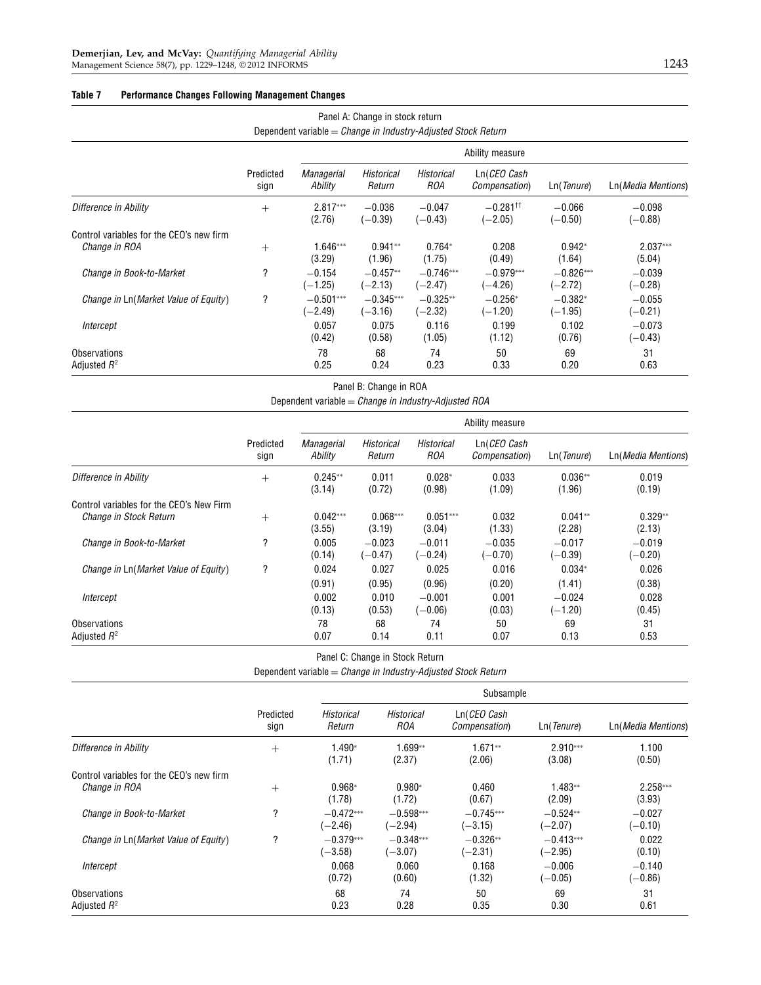# Table 7 Performance Changes Following Management Changes

| Panel A: Change in stock return<br>Dependent variable $=$ Change in Industry-Adjusted Stock Return |                   |                              |                          |                          |                                      |                        |                             |  |  |  |  |
|----------------------------------------------------------------------------------------------------|-------------------|------------------------------|--------------------------|--------------------------|--------------------------------------|------------------------|-----------------------------|--|--|--|--|
|                                                                                                    |                   | Ability measure              |                          |                          |                                      |                        |                             |  |  |  |  |
|                                                                                                    | Predicted<br>sign | <b>Managerial</b><br>Ability | Historical<br>Return     | Historical<br><i>ROA</i> | Ln(CEO Cash<br><i>Compensation</i> ) | Ln(Tenure)             | Ln( <i>Media Mentions</i> ) |  |  |  |  |
| Difference in Ability                                                                              | $^{+}$            | $2.817***$<br>(2.76)         | $-0.036$<br>$(-0.39)$    | $-0.047$<br>$(-0.43)$    | $-0.281$ <sup>tt</sup><br>$(-2.05)$  | $-0.066$<br>$(-0.50)$  | $-0.098$<br>$(-0.88)$       |  |  |  |  |
| Control variables for the CEO's new firm<br>Change in ROA                                          | $^{+}$            | $1.646***$<br>(3.29)         | $0.941**$<br>(1.96)      | $0.764*$<br>(1.75)       | 0.208<br>(0.49)                      | $0.942*$<br>(1.64)     | $2.037***$<br>(5.04)        |  |  |  |  |
| Change in Book-to-Market                                                                           | ?                 | $-0.154$<br>$(-1.25)$        | $-0.457**$<br>$(-2.13)$  | $-0.746***$<br>$(-2.47)$ | $-0.979***$<br>(-4.26)               | $-0.826***$<br>(-2.72) | $-0.039$<br>$(-0.28)$       |  |  |  |  |
| Change in Ln(Market Value of Equity)                                                               | ?                 | $-0.501***$<br>$(-2.49)$     | $-0.345***$<br>$(-3.16)$ | $-0.325**$<br>$(-2.32)$  | $-0.256*$<br>$(-1.20)$               | $-0.382*$<br>$(-1.95)$ | $-0.055$<br>$(-0.21)$       |  |  |  |  |
| Intercept                                                                                          |                   | 0.057<br>(0.42)              | 0.075<br>(0.58)          | 0.116<br>(1.05)          | 0.199<br>(1.12)                      | 0.102<br>(0.76)        | $-0.073$<br>$(-0.43)$       |  |  |  |  |
| <b>Observations</b><br>Adjusted $R^2$                                                              |                   | 78<br>0.25                   | 68<br>0.24               | 74<br>0.23               | 50<br>0.33                           | 69<br>0.20             | 31<br>0.63                  |  |  |  |  |

# Panel B: Change in ROA

Dependent variable =  $Change$  in Industry-Adjusted ROA

|                                                                    | Predicted<br>sign | Ability measure       |                       |                          |                                      |                       |                             |  |  |  |
|--------------------------------------------------------------------|-------------------|-----------------------|-----------------------|--------------------------|--------------------------------------|-----------------------|-----------------------------|--|--|--|
|                                                                    |                   | Managerial<br>Ability | Historical<br>Return  | Historical<br><b>ROA</b> | Ln(CEO Cash<br><i>Compensation</i> ) | Ln(Tenure)            | Ln( <i>Media Mentions</i> ) |  |  |  |
| Difference in Ability                                              | $^{+}$            | $0.245**$<br>(3.14)   | 0.011<br>(0.72)       | $0.028*$<br>(0.98)       | 0.033<br>(1.09)                      | $0.036**$<br>(1.96)   | 0.019<br>(0.19)             |  |  |  |
| Control variables for the CEO's New Firm<br>Change in Stock Return | $^{+}$            | $0.042***$<br>(3.55)  | $0.068***$<br>(3.19)  | $0.051***$<br>(3.04)     | 0.032<br>(1.33)                      | $0.041**$<br>(2.28)   | $0.329**$<br>(2.13)         |  |  |  |
| Change in Book-to-Market                                           | ?                 | 0.005<br>(0.14)       | $-0.023$<br>$(-0.47)$ | $-0.011$<br>$(-0.24)$    | $-0.035$<br>$(-0.70)$                | $-0.017$<br>$(-0.39)$ | $-0.019$<br>$(-0.20)$       |  |  |  |
| Change in Ln(Market Value of Equity)                               | ?                 | 0.024<br>(0.91)       | 0.027<br>(0.95)       | 0.025<br>(0.96)          | 0.016<br>(0.20)                      | $0.034*$<br>(1.41)    | 0.026<br>(0.38)             |  |  |  |
| Intercept                                                          |                   | 0.002<br>(0.13)       | 0.010<br>(0.53)       | $-0.001$<br>$(-0.06)$    | 0.001<br>(0.03)                      | $-0.024$<br>$(-1.20)$ | 0.028<br>(0.45)             |  |  |  |
| <b>Observations</b><br>Adjusted $R^2$                              |                   | 78<br>0.07            | 68<br>0.14            | 74<br>0.11               | 50<br>0.07                           | 69<br>0.13            | 31<br>0.53                  |  |  |  |

Panel C: Change in Stock Return

Dependent variable =  $Change$  in Industry-Adjusted Stock Return

|                                                           |                   | Subsample                |                          |                                      |                          |                             |  |  |  |
|-----------------------------------------------------------|-------------------|--------------------------|--------------------------|--------------------------------------|--------------------------|-----------------------------|--|--|--|
|                                                           | Predicted<br>sign | Historical<br>Return     | Historical<br><b>ROA</b> | Ln(CEO Cash<br><i>Compensation</i> ) | Ln(Tenure)               | Ln( <i>Media Mentions</i> ) |  |  |  |
| Difference in Ability                                     | $+$               | $1.490*$<br>(1.71)       | 1.699**<br>(2.37)        | $1.671**$<br>(2.06)                  | $2.910***$<br>(3.08)     | 1.100<br>(0.50)             |  |  |  |
| Control variables for the CEO's new firm<br>Change in ROA | $+$               | $0.968*$<br>(1.78)       | $0.980*$<br>(1.72)       | 0.460<br>(0.67)                      | $1.483**$<br>(2.09)      | $2.258***$<br>(3.93)        |  |  |  |
| Change in Book-to-Market                                  | ?                 | $-0.472***$<br>$(-2.46)$ | $-0.598***$<br>$(-2.94)$ | $-0.745***$<br>$(-3.15)$             | $-0.524**$<br>$(-2.07)$  | $-0.027$<br>$(-0.10)$       |  |  |  |
| Change in Ln(Market Value of Equity)                      | ?                 | $-0.379***$<br>$(-3.58)$ | $-0.348***$<br>$(-3.07)$ | $-0.326**$<br>$(-2.31)$              | $-0.413***$<br>$(-2.95)$ | 0.022<br>(0.10)             |  |  |  |
| Intercept                                                 |                   | 0.068<br>(0.72)          | 0.060<br>(0.60)          | 0.168<br>(1.32)                      | $-0.006$<br>$(-0.05)$    | $-0.140$<br>$(-0.86)$       |  |  |  |
| Observations<br>Adjusted $R^2$                            |                   | 68<br>0.23               | 74<br>0.28               | 50<br>0.35                           | 69<br>0.30               | 31<br>0.61                  |  |  |  |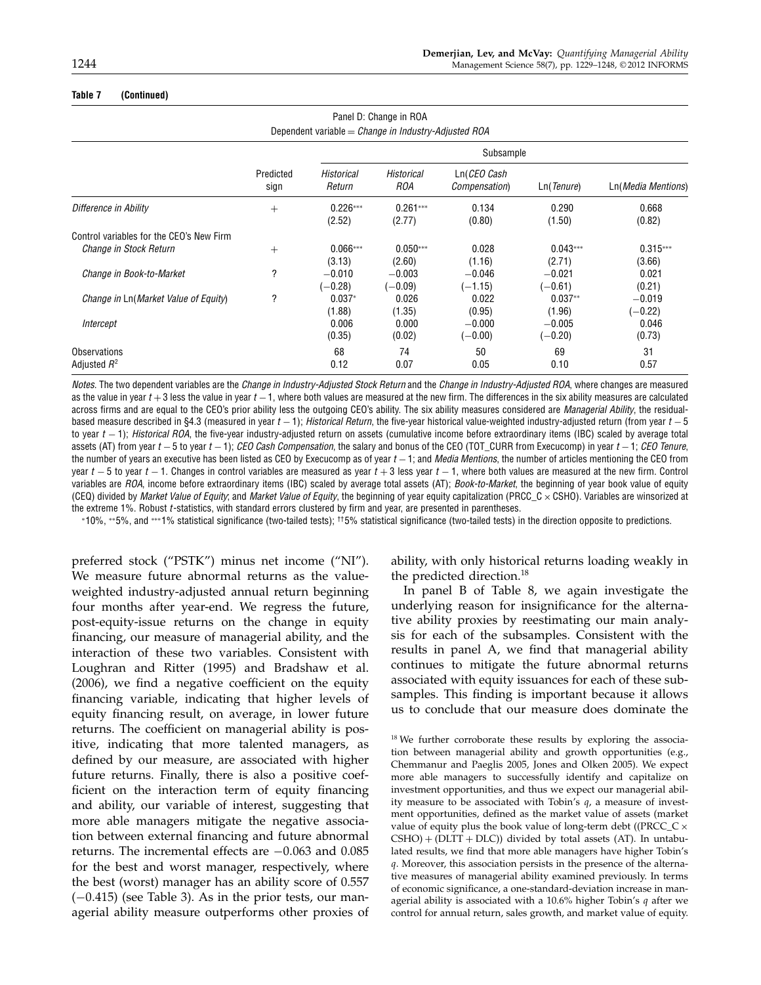### Table 7 (Continued)

| Panel D: Change in ROA                                 |                   |                       |                          |                                      |                       |                             |  |  |  |
|--------------------------------------------------------|-------------------|-----------------------|--------------------------|--------------------------------------|-----------------------|-----------------------------|--|--|--|
| Dependent variable = $Change$ in Industry-Adjusted ROA |                   |                       |                          |                                      |                       |                             |  |  |  |
|                                                        |                   | Subsample             |                          |                                      |                       |                             |  |  |  |
|                                                        | Predicted<br>sign | Historical<br>Return  | Historical<br><i>ROA</i> | Ln(CEO Cash<br><i>Compensation</i> ) | Ln(Tenure)            | Ln( <i>Media Mentions</i> ) |  |  |  |
| Difference in Ability                                  | $^{+}$            | $0.226***$<br>(2.52)  | $0.261***$<br>(2.77)     | 0.134<br>(0.80)                      | 0.290<br>(1.50)       | 0.668<br>(0.82)             |  |  |  |
| Control variables for the CEO's New Firm               |                   |                       |                          |                                      |                       |                             |  |  |  |
| Change in Stock Return                                 | $+$               | $0.066***$<br>(3.13)  | $0.050***$<br>(2.60)     | 0.028<br>(1.16)                      | $0.043***$<br>(2.71)  | $0.315***$<br>(3.66)        |  |  |  |
| Change in Book-to-Market                               | ?                 | $-0.010$<br>$(-0.28)$ | $-0.003$<br>$(-0.09)$    | $-0.046$<br>$(-1.15)$                | $-0.021$<br>$(-0.61)$ | 0.021<br>(0.21)             |  |  |  |
| Change in Ln(Market Value of Equity)                   | ?                 | $0.037*$<br>(1.88)    | 0.026<br>(1.35)          | 0.022<br>(0.95)                      | $0.037**$<br>(1.96)   | $-0.019$<br>$(-0.22)$       |  |  |  |
| Intercept                                              |                   | 0.006<br>(0.35)       | 0.000<br>(0.02)          | $-0.000$<br>$(-0.00)$                | $-0.005$<br>$(-0.20)$ | 0.046<br>(0.73)             |  |  |  |
| Observations<br>Adjusted $R^2$                         |                   | 68<br>0.12            | 74<br>0.07               | 50<br>0.05                           | 69<br>0.10            | 31<br>0.57                  |  |  |  |

Notes. The two dependent variables are the Change in Industry-Adjusted Stock Return and the Change in Industry-Adjusted ROA, where changes are measured as the value in year  $t + 3$  less the value in year  $t - 1$ , where both values are measured at the new firm. The differences in the six ability measures are calculated across firms and are equal to the CEO's prior ability less the outgoing CEO's ability. The six ability measures considered are Managerial Ability, the residualbased measure described in §4.3 (measured in year  $t - 1$ ); Historical Return, the five-year historical value-weighted industry-adjusted return (from year  $t - 5$ to year  $t - 1$ ); Historical ROA, the five-year industry-adjusted return on assets (cumulative income before extraordinary items (IBC) scaled by average total assets (AT) from year  $t - 5$  to year  $t - 1$ ); CEO Cash Compensation, the salary and bonus of the CEO (TOT CURR from Execucomp) in year  $t - 1$ ; CEO Tenure, the number of years an executive has been listed as CEO by Execucomp as of year  $t-1$ ; and Media Mentions, the number of articles mentioning the CEO from year  $t$  − 5 to year  $t$  − 1. Changes in control variables are measured as year  $t$  + 3 less year  $t$  − 1, where both values are measured at the new firm. Control variables are ROA, income before extraordinary items (IBC) scaled by average total assets (AT); Book-to-Market, the beginning of year book value of equity (CEQ) divided by Market Value of Equity; and Market Value of Equity, the beginning of year equity capitalization (PRCC\_C  $\times$  CSHO). Variables are winsorized at the extreme 1%. Robust t-statistics, with standard errors clustered by firm and year, are presented in parentheses.

<sup>∗</sup>10%, ∗∗5%, and ∗∗∗1% statistical significance (two-tailed tests); ††5% statistical significance (two-tailed tests) in the direction opposite to predictions.

preferred stock ("PSTK") minus net income ("NI"). We measure future abnormal returns as the valueweighted industry-adjusted annual return beginning four months after year-end. We regress the future, post-equity-issue returns on the change in equity financing, our measure of managerial ability, and the interaction of these two variables. Consistent with Loughran and Ritter (1995) and Bradshaw et al. (2006), we find a negative coefficient on the equity financing variable, indicating that higher levels of equity financing result, on average, in lower future returns. The coefficient on managerial ability is positive, indicating that more talented managers, as defined by our measure, are associated with higher future returns. Finally, there is also a positive coefficient on the interaction term of equity financing and ability, our variable of interest, suggesting that more able managers mitigate the negative association between external financing and future abnormal returns. The incremental effects are  $-0.063$  and  $0.085$ for the best and worst manager, respectively, where the best (worst) manager has an ability score of 0.557  $(-0.415)$  (see Table 3). As in the prior tests, our managerial ability measure outperforms other proxies of ability, with only historical returns loading weakly in the predicted direction.<sup>18</sup>

In panel B of Table 8, we again investigate the underlying reason for insignificance for the alternative ability proxies by reestimating our main analysis for each of the subsamples. Consistent with the results in panel A, we find that managerial ability continues to mitigate the future abnormal returns associated with equity issuances for each of these subsamples. This finding is important because it allows us to conclude that our measure does dominate the

<sup>18</sup> We further corroborate these results by exploring the association between managerial ability and growth opportunities (e.g., Chemmanur and Paeglis 2005, Jones and Olken 2005). We expect more able managers to successfully identify and capitalize on investment opportunities, and thus we expect our managerial ability measure to be associated with Tobin's  $q$ , a measure of investment opportunities, defined as the market value of assets (market value of equity plus the book value of long-term debt ((PRCC\_C  $\times$  $\text{CSHO}$ ) + (DLTT + DLC)) divided by total assets (AT). In untabulated results, we find that more able managers have higher Tobin's q. Moreover, this association persists in the presence of the alternative measures of managerial ability examined previously. In terms of economic significance, a one-standard-deviation increase in managerial ability is associated with a 10.6% higher Tobin's  $q$  after we control for annual return, sales growth, and market value of equity.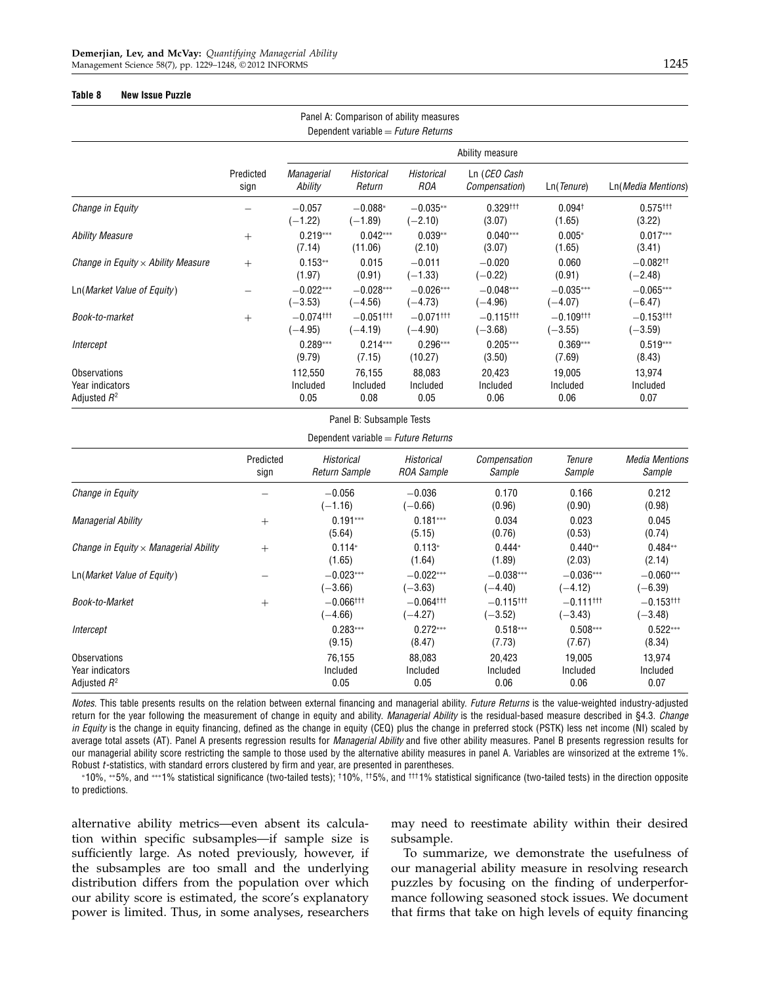#### Table 8 New Issue Puzzle

|                   | Dependent variable = $Future$ Returns<br>Ability measure |                         |                          |                                                                   |                         |                         |  |  |  |
|-------------------|----------------------------------------------------------|-------------------------|--------------------------|-------------------------------------------------------------------|-------------------------|-------------------------|--|--|--|
| Predicted<br>sign | Managerial<br>Ability                                    | Historical<br>Return    | Historical<br><b>ROA</b> | Ln (CEO Cash<br><i>Compensation</i> )                             | Ln(Tenure)              | Ln(Media Mentions)      |  |  |  |
|                   | $-0.057$                                                 | $-0.088*$               | $-0.035**$               | $0.329$ <sup>†††</sup>                                            | $0.094^{\dagger}$       | $0.575$ <sup>†††</sup>  |  |  |  |
|                   | $(-1.22)$                                                | $(-1.89)$               | $(-2.10)$                | (3.07)                                                            | (1.65)                  | (3.22)                  |  |  |  |
| $+$               | $0.219***$                                               | $0.042***$              | $0.039**$                | $0.040***$                                                        | $0.005*$                | $0.017***$              |  |  |  |
|                   | (7.14)                                                   | (11.06)                 | (2.10)                   | (3.07)                                                            | (1.65)                  | (3.41)                  |  |  |  |
| $^{+}$            | $0.153**$                                                | 0.015                   | $-0.011$                 | $-0.020$                                                          | 0.060                   | $-0.082$ <sup>tt</sup>  |  |  |  |
|                   | (1.97)                                                   | (0.91)                  | $(-1.33)$                | $(-0.22)$                                                         | (0.91)                  | $(-2.48)$               |  |  |  |
|                   | $-0.022***$                                              | $-0.028***$             | $-0.026***$              | $-0.048***$                                                       | $-0.035***$             | $-0.065***$             |  |  |  |
|                   | $(-3.53)$                                                | $(-4.56)$               | $(-4.73)$                | $(-4.96)$                                                         | $(-4.07)$               | $(-6.47)$               |  |  |  |
| $^{+}$            | $-0.074$ <sup>†††</sup>                                  | $-0.051$ <sup>†††</sup> | $-0.071$ <sup>†††</sup>  | $-0.115$ <sup>†††</sup>                                           | $-0.109$ <sup>†††</sup> | $-0.153$ <sup>†††</sup> |  |  |  |
|                   | $(-4.95)$                                                | $(-4.19)$               | $(-4.90)$                | $(-3.68)$                                                         | $(-3.55)$               | $(-3.59)$               |  |  |  |
|                   | $0.289***$                                               | $0.214***$              | $0.296***$               | $0.205***$                                                        | $0.369***$              | $0.519***$              |  |  |  |
|                   | (9.79)                                                   | (7.15)                  | (10.27)                  | (3.50)                                                            | (7.69)                  | (8.43)                  |  |  |  |
|                   | 112,550                                                  | 76,155                  | 88,083                   | 20,423                                                            | 19,005                  | 13,974                  |  |  |  |
|                   | Included                                                 | Included                | Included                 | Included                                                          | Included                | Included                |  |  |  |
|                   | 0.05                                                     | 0.08                    | 0.05                     | 0.06                                                              | 0.06                    | 0.07                    |  |  |  |
|                   |                                                          |                         |                          |                                                                   |                         |                         |  |  |  |
|                   |                                                          |                         |                          |                                                                   |                         |                         |  |  |  |
|                   |                                                          |                         |                          | Panel B: Subsample Tests<br>Dependent variable = $Future$ Returns |                         |                         |  |  |  |

|                                                   | Predicted<br>sign | Historical<br>Return Sample          | Historical<br>ROA Sample             | Compensation<br>Sample               | Tenure<br>Sample                     | <b>Media Mentions</b><br>Sample      |
|---------------------------------------------------|-------------------|--------------------------------------|--------------------------------------|--------------------------------------|--------------------------------------|--------------------------------------|
| Change in Equity                                  |                   | $-0.056$<br>$(-1.16)$                | $-0.036$<br>$(-0.66)$                | 0.170<br>(0.96)                      | 0.166<br>(0.90)                      | 0.212<br>(0.98)                      |
| <b>Managerial Ability</b>                         | $+$               | $0.191***$<br>(5.64)                 | $0.181***$<br>(5.15)                 | 0.034<br>(0.76)                      | 0.023<br>(0.53)                      | 0.045<br>(0.74)                      |
| Change in Equity $\times$ Managerial Ability      | $+$               | $0.114*$<br>(1.65)                   | $0.113*$<br>(1.64)                   | $0.444*$<br>(1.89)                   | $0.440**$<br>(2.03)                  | $0.484**$<br>(2.14)                  |
| Ln( <i>Market Value of Equity</i> )               |                   | $-0.023***$<br>$(-3.66)$             | $-0.022***$<br>$(-3.63)$             | $-0.038***$<br>$(-4.40)$             | $-0.036***$<br>$(-4.12)$             | $-0.060***$<br>$(-6.39)$             |
| Book-to-Market                                    | $^{+}$            | $-0.066$ <sup>†††</sup><br>$(-4.66)$ | $-0.064$ <sup>†††</sup><br>$(-4.27)$ | $-0.115$ <sup>†††</sup><br>$(-3.52)$ | $-0.111$ <sup>†††</sup><br>$(-3.43)$ | $-0.153$ <sup>†††</sup><br>$(-3.48)$ |
| Intercept                                         |                   | $0.283***$<br>(9.15)                 | $0.272***$<br>(8.47)                 | $0.518***$<br>(7.73)                 | $0.508***$<br>(7.67)                 | $0.522***$<br>(8.34)                 |
| Observations<br>Year indicators<br>Adjusted $R^2$ |                   | 76.155<br>Included<br>0.05           | 88,083<br>Included<br>0.05           | 20.423<br>Included<br>0.06           | 19.005<br>Included<br>0.06           | 13,974<br>Included<br>0.07           |

Notes. This table presents results on the relation between external financing and managerial ability. Future Returns is the value-weighted industry-adjusted return for the year following the measurement of change in equity and ability. Managerial Ability is the residual-based measure described in §4.3. Change in Equity is the change in equity financing, defined as the change in equity (CEQ) plus the change in preferred stock (PSTK) less net income (NI) scaled by average total assets (AT). Panel A presents regression results for Managerial Ability and five other ability measures. Panel B presents regression results for our managerial ability score restricting the sample to those used by the alternative ability measures in panel A. Variables are winsorized at the extreme 1%. Robust *t*-statistics, with standard errors clustered by firm and year, are presented in parentheses.

<sup>∗</sup>10%, ∗∗5%, and ∗∗∗1% statistical significance (two-tailed tests); †10%, ††5%, and †††1% statistical significance (two-tailed tests) in the direction opposite to predictions.

alternative ability metrics—even absent its calculation within specific subsamples—if sample size is sufficiently large. As noted previously, however, if the subsamples are too small and the underlying distribution differs from the population over which our ability score is estimated, the score's explanatory power is limited. Thus, in some analyses, researchers

may need to reestimate ability within their desired subsample.

To summarize, we demonstrate the usefulness of our managerial ability measure in resolving research puzzles by focusing on the finding of underperformance following seasoned stock issues. We document that firms that take on high levels of equity financing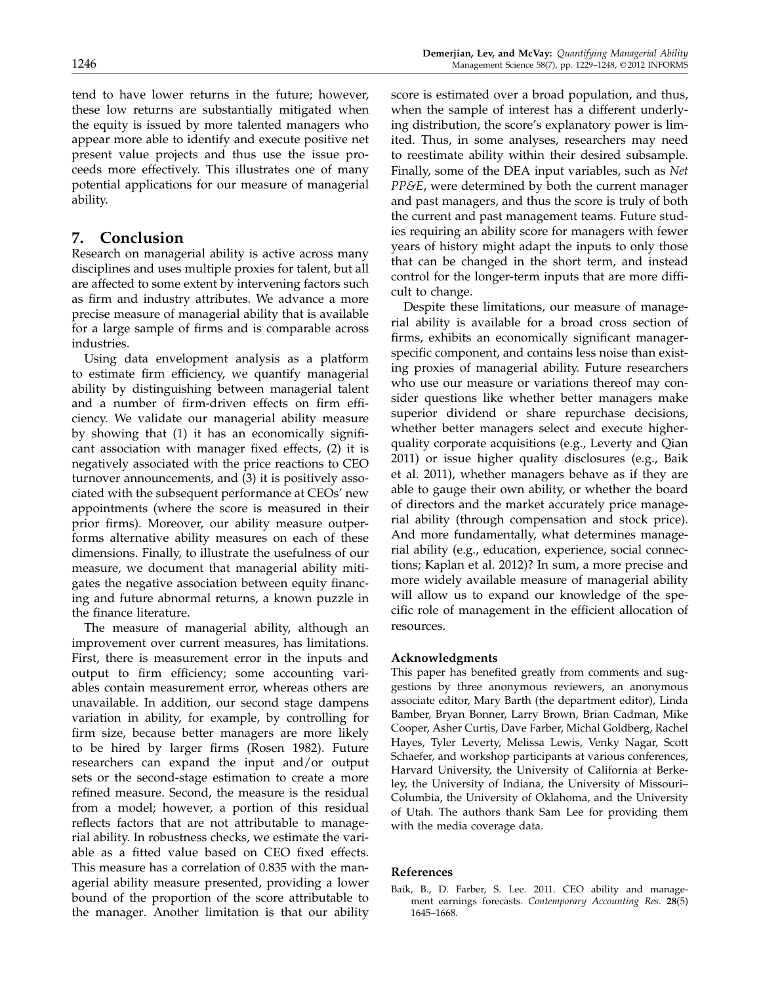tend to have lower returns in the future; however, these low returns are substantially mitigated when the equity is issued by more talented managers who appear more able to identify and execute positive net present value projects and thus use the issue proceeds more effectively. This illustrates one of many potential applications for our measure of managerial ability.

# 7. Conclusion

Research on managerial ability is active across many disciplines and uses multiple proxies for talent, but all are affected to some extent by intervening factors such as firm and industry attributes. We advance a more precise measure of managerial ability that is available for a large sample of firms and is comparable across industries.

Using data envelopment analysis as a platform to estimate firm efficiency, we quantify managerial ability by distinguishing between managerial talent and a number of firm-driven effects on firm efficiency. We validate our managerial ability measure by showing that (1) it has an economically significant association with manager fixed effects, (2) it is negatively associated with the price reactions to CEO turnover announcements, and (3) it is positively associated with the subsequent performance at CEOs' new appointments (where the score is measured in their prior firms). Moreover, our ability measure outperforms alternative ability measures on each of these dimensions. Finally, to illustrate the usefulness of our measure, we document that managerial ability mitigates the negative association between equity financing and future abnormal returns, a known puzzle in the finance literature.

The measure of managerial ability, although an improvement over current measures, has limitations. First, there is measurement error in the inputs and output to firm efficiency; some accounting variables contain measurement error, whereas others are unavailable. In addition, our second stage dampens variation in ability, for example, by controlling for firm size, because better managers are more likely to be hired by larger firms (Rosen 1982). Future researchers can expand the input and/or output sets or the second-stage estimation to create a more refined measure. Second, the measure is the residual from a model; however, a portion of this residual reflects factors that are not attributable to managerial ability. In robustness checks, we estimate the variable as a fitted value based on CEO fixed effects. This measure has a correlation of 0.835 with the managerial ability measure presented, providing a lower bound of the proportion of the score attributable to the manager. Another limitation is that our ability score is estimated over a broad population, and thus, when the sample of interest has a different underlying distribution, the score's explanatory power is limited. Thus, in some analyses, researchers may need to reestimate ability within their desired subsample. Finally, some of the DEA input variables, such as Net PP&E, were determined by both the current manager and past managers, and thus the score is truly of both the current and past management teams. Future studies requiring an ability score for managers with fewer years of history might adapt the inputs to only those that can be changed in the short term, and instead control for the longer-term inputs that are more difficult to change.

Despite these limitations, our measure of managerial ability is available for a broad cross section of firms, exhibits an economically significant managerspecific component, and contains less noise than existing proxies of managerial ability. Future researchers who use our measure or variations thereof may consider questions like whether better managers make superior dividend or share repurchase decisions, whether better managers select and execute higherquality corporate acquisitions (e.g., Leverty and Qian 2011) or issue higher quality disclosures (e.g., Baik et al. 2011), whether managers behave as if they are able to gauge their own ability, or whether the board of directors and the market accurately price managerial ability (through compensation and stock price). And more fundamentally, what determines managerial ability (e.g., education, experience, social connections; Kaplan et al. 2012)? In sum, a more precise and more widely available measure of managerial ability will allow us to expand our knowledge of the specific role of management in the efficient allocation of resources.

# Acknowledgments

This paper has benefited greatly from comments and suggestions by three anonymous reviewers, an anonymous associate editor, Mary Barth (the department editor), Linda Bamber, Bryan Bonner, Larry Brown, Brian Cadman, Mike Cooper, Asher Curtis, Dave Farber, Michal Goldberg, Rachel Hayes, Tyler Leverty, Melissa Lewis, Venky Nagar, Scott Schaefer, and workshop participants at various conferences, Harvard University, the University of California at Berkeley, the University of Indiana, the University of Missouri– Columbia, the University of Oklahoma, and the University of Utah. The authors thank Sam Lee for providing them with the media coverage data.

### References

Baik, B., D. Farber, S. Lee. 2011. CEO ability and management earnings forecasts. Contemporary Accounting Res. 28(5) 1645–1668.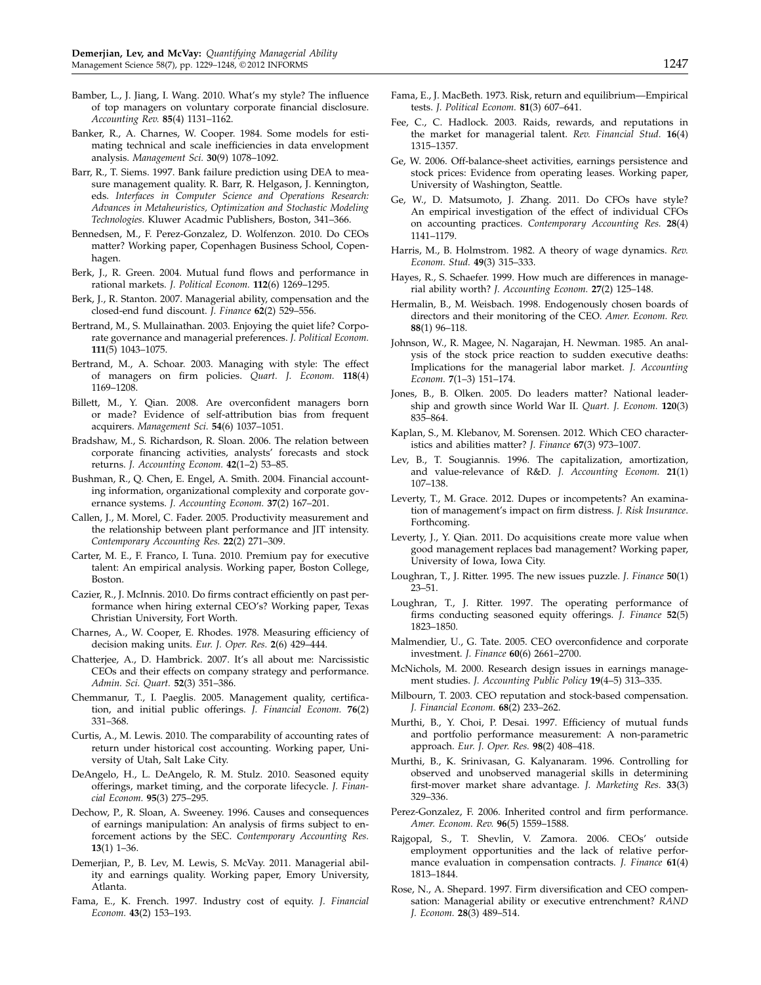- Bamber, L., J. Jiang, I. Wang. 2010. What's my style? The influence of top managers on voluntary corporate financial disclosure. Accounting Rev. 85(4) 1131–1162.
- Banker, R., A. Charnes, W. Cooper. 1984. Some models for estimating technical and scale inefficiencies in data envelopment analysis. Management Sci. 30(9) 1078–1092.
- Barr, R., T. Siems. 1997. Bank failure prediction using DEA to measure management quality. R. Barr, R. Helgason, J. Kennington, eds. Interfaces in Computer Science and Operations Research: Advances in Metaheuristics, Optimization and Stochastic Modeling Technologies. Kluwer Acadmic Publishers, Boston, 341–366.
- Bennedsen, M., F. Perez-Gonzalez, D. Wolfenzon. 2010. Do CEOs matter? Working paper, Copenhagen Business School, Copenhagen.
- Berk, J., R. Green. 2004. Mutual fund flows and performance in rational markets. J. Political Econom. 112(6) 1269–1295.
- Berk, J., R. Stanton. 2007. Managerial ability, compensation and the closed-end fund discount. J. Finance 62(2) 529–556.
- Bertrand, M., S. Mullainathan. 2003. Enjoying the quiet life? Corporate governance and managerial preferences. J. Political Econom. 111(5) 1043–1075.
- Bertrand, M., A. Schoar. 2003. Managing with style: The effect of managers on firm policies. Quart. J. Econom. 118(4) 1169–1208.
- Billett, M., Y. Qian. 2008. Are overconfident managers born or made? Evidence of self-attribution bias from frequent acquirers. Management Sci. 54(6) 1037–1051.
- Bradshaw, M., S. Richardson, R. Sloan. 2006. The relation between corporate financing activities, analysts' forecasts and stock returns. J. Accounting Econom. 42(1–2) 53–85.
- Bushman, R., Q. Chen, E. Engel, A. Smith. 2004. Financial accounting information, organizational complexity and corporate governance systems. J. Accounting Econom. 37(2) 167–201.
- Callen, J., M. Morel, C. Fader. 2005. Productivity measurement and the relationship between plant performance and JIT intensity. Contemporary Accounting Res. 22(2) 271–309.
- Carter, M. E., F. Franco, I. Tuna. 2010. Premium pay for executive talent: An empirical analysis. Working paper, Boston College, Boston.
- Cazier, R., J. McInnis. 2010. Do firms contract efficiently on past performance when hiring external CEO's? Working paper, Texas Christian University, Fort Worth.
- Charnes, A., W. Cooper, E. Rhodes. 1978. Measuring efficiency of decision making units. Eur. J. Oper. Res. 2(6) 429–444.
- Chatterjee, A., D. Hambrick. 2007. It's all about me: Narcissistic CEOs and their effects on company strategy and performance. Admin. Sci. Quart. 52(3) 351–386.
- Chemmanur, T., I. Paeglis. 2005. Management quality, certification, and initial public offerings. J. Financial Econom. 76(2) 331–368.
- Curtis, A., M. Lewis. 2010. The comparability of accounting rates of return under historical cost accounting. Working paper, University of Utah, Salt Lake City.
- DeAngelo, H., L. DeAngelo, R. M. Stulz. 2010. Seasoned equity offerings, market timing, and the corporate lifecycle. J. Financial Econom. 95(3) 275–295.
- Dechow, P., R. Sloan, A. Sweeney. 1996. Causes and consequences of earnings manipulation: An analysis of firms subject to enforcement actions by the SEC. Contemporary Accounting Res. 13(1) 1–36.
- Demerjian, P., B. Lev, M. Lewis, S. McVay. 2011. Managerial ability and earnings quality. Working paper, Emory University, Atlanta.
- Fama, E., K. French. 1997. Industry cost of equity. J. Financial Econom. 43(2) 153–193.
- Fama, E., J. MacBeth. 1973. Risk, return and equilibrium—Empirical tests. J. Political Econom. 81(3) 607–641.
- Fee, C., C. Hadlock. 2003. Raids, rewards, and reputations in the market for managerial talent. Rev. Financial Stud. 16(4) 1315–1357.
- Ge, W. 2006. Off-balance-sheet activities, earnings persistence and stock prices: Evidence from operating leases. Working paper, University of Washington, Seattle.
- Ge, W., D. Matsumoto, J. Zhang. 2011. Do CFOs have style? An empirical investigation of the effect of individual CFOs on accounting practices. Contemporary Accounting Res. 28(4) 1141–1179.
- Harris, M., B. Holmstrom. 1982. A theory of wage dynamics. Rev. Econom. Stud. 49(3) 315–333.
- Hayes, R., S. Schaefer. 1999. How much are differences in managerial ability worth? J. Accounting Econom. 27(2) 125–148.
- Hermalin, B., M. Weisbach. 1998. Endogenously chosen boards of directors and their monitoring of the CEO. Amer. Econom. Rev. 88(1) 96–118.
- Johnson, W., R. Magee, N. Nagarajan, H. Newman. 1985. An analysis of the stock price reaction to sudden executive deaths: Implications for the managerial labor market. J. Accounting Econom. 7(1–3) 151–174.
- Jones, B., B. Olken. 2005. Do leaders matter? National leadership and growth since World War II. Quart. J. Econom. 120(3) 835–864.
- Kaplan, S., M. Klebanov, M. Sorensen. 2012. Which CEO characteristics and abilities matter? J. Finance 67(3) 973–1007.
- Lev, B., T. Sougiannis. 1996. The capitalization, amortization, and value-relevance of R&D. J. Accounting Econom. 21(1) 107–138.
- Leverty, T., M. Grace. 2012. Dupes or incompetents? An examination of management's impact on firm distress. J. Risk Insurance. Forthcoming.
- Leverty, J., Y. Qian. 2011. Do acquisitions create more value when good management replaces bad management? Working paper, University of Iowa, Iowa City.
- Loughran, T., J. Ritter. 1995. The new issues puzzle. J. Finance 50(1) 23–51.
- Loughran, T., J. Ritter. 1997. The operating performance of firms conducting seasoned equity offerings. J. Finance 52(5) 1823–1850.
- Malmendier, U., G. Tate. 2005. CEO overconfidence and corporate investment. J. Finance 60(6) 2661–2700.
- McNichols, M. 2000. Research design issues in earnings management studies. J. Accounting Public Policy 19(4–5) 313–335.
- Milbourn, T. 2003. CEO reputation and stock-based compensation. J. Financial Econom. 68(2) 233–262.
- Murthi, B., Y. Choi, P. Desai. 1997. Efficiency of mutual funds and portfolio performance measurement: A non-parametric approach. Eur. J. Oper. Res. 98(2) 408–418.
- Murthi, B., K. Srinivasan, G. Kalyanaram. 1996. Controlling for observed and unobserved managerial skills in determining first-mover market share advantage. J. Marketing Res. 33(3) 329–336.
- Perez-Gonzalez, F. 2006. Inherited control and firm performance. Amer. Econom. Rev. 96(5) 1559–1588.
- Rajgopal, S., T. Shevlin, V. Zamora. 2006. CEOs' outside employment opportunities and the lack of relative performance evaluation in compensation contracts. J. Finance 61(4) 1813–1844.
- Rose, N., A. Shepard. 1997. Firm diversification and CEO compensation: Managerial ability or executive entrenchment? RAND J. Econom. 28(3) 489–514.